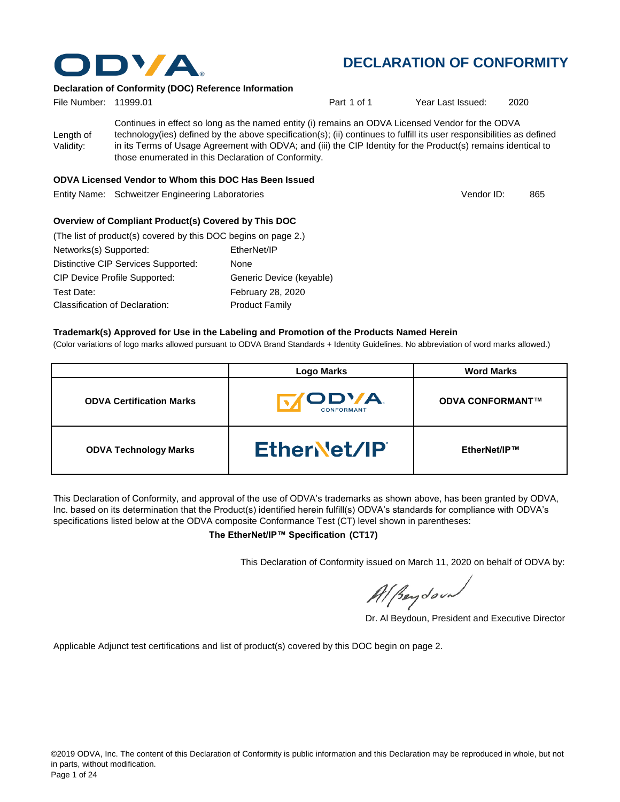

#### **Declaration of Conformity (DOC) Reference Information**

| File Number: 11999.01  |                                                                                                                                                                                                                                                                                                                                                                                                   | Part 1 of 1 | Year Last Issued: | 2020 |
|------------------------|---------------------------------------------------------------------------------------------------------------------------------------------------------------------------------------------------------------------------------------------------------------------------------------------------------------------------------------------------------------------------------------------------|-------------|-------------------|------|
| Length of<br>Validity: | Continues in effect so long as the named entity (i) remains an ODVA Licensed Vendor for the ODVA<br>technology(ies) defined by the above specification(s); (ii) continues to fulfill its user responsibilities as defined<br>in its Terms of Usage Agreement with ODVA; and (iii) the CIP Identity for the Product(s) remains identical to<br>those enumerated in this Declaration of Conformity. |             |                   |      |

#### **ODVA Licensed Vendor to Whom this DOC Has Been Issued**

Entity Name: Schweitzer Engineering Laboratories **865** and 800 and 800 and 800 and 800 km and 865

Vendor ID:

#### **Overview of Compliant Product(s) Covered by This DOC**

| (The list of product(s) covered by this DOC begins on page 2.) |                          |
|----------------------------------------------------------------|--------------------------|
| Networks(s) Supported:                                         | EtherNet/IP              |
| Distinctive CIP Services Supported:                            | None                     |
| <b>CIP Device Profile Supported:</b>                           | Generic Device (keyable) |
| Test Date:                                                     | <b>February 28, 2020</b> |
| Classification of Declaration:                                 | <b>Product Family</b>    |

#### **Trademark(s) Approved for Use in the Labeling and Promotion of the Products Named Herein**

(Color variations of logo marks allowed pursuant to ODVA Brand Standards + Identity Guidelines. No abbreviation of word marks allowed.)

|                                 | <b>Logo Marks</b>                        | <b>Word Marks</b>       |
|---------------------------------|------------------------------------------|-------------------------|
| <b>ODVA Certification Marks</b> | <b><i>IODVA</i></b><br><b>CONFORMANT</b> | <b>ODVA CONFORMANT™</b> |
| <b>ODVA Technology Marks</b>    | Ether et/IP                              | EtherNet/IP™            |

This Declaration of Conformity, and approval of the use of ODVA's trademarks as shown above, has been granted by ODVA, Inc. based on its determination that the Product(s) identified herein fulfill(s) ODVA's standards for compliance with ODVA's specifications listed below at the ODVA composite Conformance Test (CT) level shown in parentheses:

**The EtherNet/IP™ Specification (CT17)**

This Declaration of Conformity issued on March 11, 2020 on behalf of ODVA by:

Al Beydoor

Dr. Al Beydoun, President and Executive Director

Applicable Adjunct test certifications and list of product(s) covered by this DOC begin on page 2.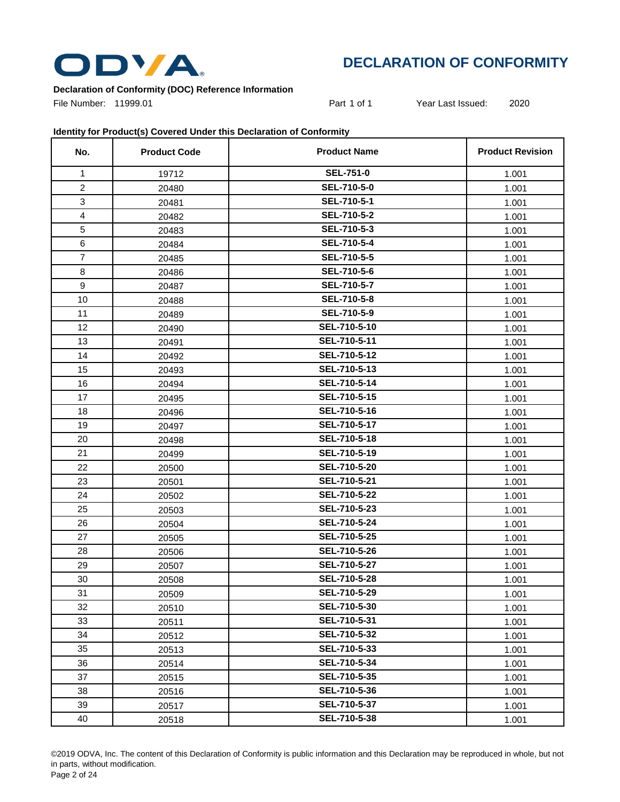

#### **Declaration of Conformity (DOC) Reference Information**

File Number: 11999.01 **Part 1 of 1** Year Last Issued: 2020

#### **Identity for Product(s) Covered Under this Declaration of Conformity**

| No.            | <b>Product Code</b> | <b>Product Name</b> | <b>Product Revision</b> |
|----------------|---------------------|---------------------|-------------------------|
| 1              | 19712               | <b>SEL-751-0</b>    | 1.001                   |
| $\overline{2}$ | 20480               | SEL-710-5-0         | 1.001                   |
| 3              | 20481               | SEL-710-5-1         | 1.001                   |
| $\overline{4}$ | 20482               | <b>SEL-710-5-2</b>  | 1.001                   |
| 5              | 20483               | SEL-710-5-3         | 1.001                   |
| 6              | 20484               | SEL-710-5-4         | 1.001                   |
| $\overline{7}$ | 20485               | SEL-710-5-5         | 1.001                   |
| 8              | 20486               | SEL-710-5-6         | 1.001                   |
| $9\,$          | 20487               | SEL-710-5-7         | 1.001                   |
| 10             | 20488               | SEL-710-5-8         | 1.001                   |
| 11             | 20489               | SEL-710-5-9         | 1.001                   |
| 12             | 20490               | SEL-710-5-10        | 1.001                   |
| 13             | 20491               | SEL-710-5-11        | 1.001                   |
| 14             | 20492               | SEL-710-5-12        | 1.001                   |
| 15             | 20493               | SEL-710-5-13        | 1.001                   |
| 16             | 20494               | SEL-710-5-14        | 1.001                   |
| 17             | 20495               | SEL-710-5-15        | 1.001                   |
| 18             | 20496               | SEL-710-5-16        | 1.001                   |
| 19             | 20497               | SEL-710-5-17        | 1.001                   |
| 20             | 20498               | SEL-710-5-18        | 1.001                   |
| 21             | 20499               | SEL-710-5-19        | 1.001                   |
| 22             | 20500               | SEL-710-5-20        | 1.001                   |
| 23             | 20501               | SEL-710-5-21        | 1.001                   |
| 24             | 20502               | SEL-710-5-22        | 1.001                   |
| 25             | 20503               | SEL-710-5-23        | 1.001                   |
| 26             | 20504               | SEL-710-5-24        | 1.001                   |
| 27             | 20505               | SEL-710-5-25        | 1.001                   |
| 28             | 20506               | SEL-710-5-26        | 1.001                   |
| 29             | 20507               | SEL-710-5-27        | 1.001                   |
| 30             | 20508               | SEL-710-5-28        | 1.001                   |
| 31             | 20509               | SEL-710-5-29        | 1.001                   |
| 32             | 20510               | SEL-710-5-30        | 1.001                   |
| 33             | 20511               | SEL-710-5-31        | 1.001                   |
| 34             | 20512               | SEL-710-5-32        | 1.001                   |
| 35             | 20513               | SEL-710-5-33        | 1.001                   |
| 36             | 20514               | SEL-710-5-34        | 1.001                   |
| 37             | 20515               | SEL-710-5-35        | 1.001                   |
| 38             | 20516               | SEL-710-5-36        | 1.001                   |
| 39             | 20517               | SEL-710-5-37        | 1.001                   |
| 40             | 20518               | SEL-710-5-38        | 1.001                   |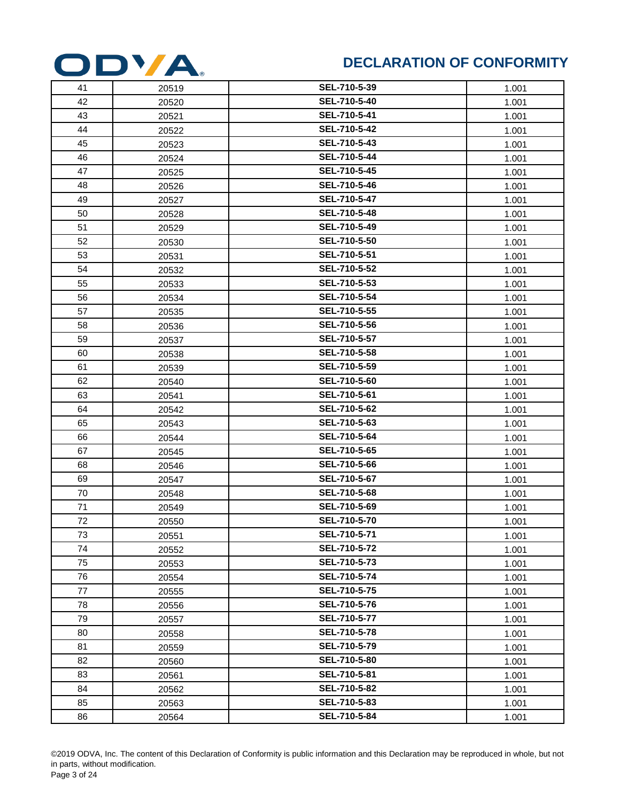

| 41 | 20519 | SEL-710-5-39 | 1.001 |
|----|-------|--------------|-------|
| 42 | 20520 | SEL-710-5-40 | 1.001 |
| 43 | 20521 | SEL-710-5-41 | 1.001 |
| 44 | 20522 | SEL-710-5-42 | 1.001 |
| 45 | 20523 | SEL-710-5-43 | 1.001 |
| 46 | 20524 | SEL-710-5-44 | 1.001 |
| 47 | 20525 | SEL-710-5-45 | 1.001 |
| 48 | 20526 | SEL-710-5-46 | 1.001 |
| 49 | 20527 | SEL-710-5-47 | 1.001 |
| 50 | 20528 | SEL-710-5-48 | 1.001 |
| 51 | 20529 | SEL-710-5-49 | 1.001 |
| 52 | 20530 | SEL-710-5-50 | 1.001 |
| 53 | 20531 | SEL-710-5-51 | 1.001 |
| 54 | 20532 | SEL-710-5-52 | 1.001 |
| 55 | 20533 | SEL-710-5-53 | 1.001 |
| 56 | 20534 | SEL-710-5-54 | 1.001 |
| 57 | 20535 | SEL-710-5-55 | 1.001 |
| 58 | 20536 | SEL-710-5-56 | 1.001 |
| 59 | 20537 | SEL-710-5-57 | 1.001 |
| 60 | 20538 | SEL-710-5-58 | 1.001 |
| 61 | 20539 | SEL-710-5-59 | 1.001 |
| 62 | 20540 | SEL-710-5-60 | 1.001 |
| 63 | 20541 | SEL-710-5-61 | 1.001 |
| 64 | 20542 | SEL-710-5-62 | 1.001 |
| 65 | 20543 | SEL-710-5-63 | 1.001 |
| 66 | 20544 | SEL-710-5-64 | 1.001 |
| 67 | 20545 | SEL-710-5-65 | 1.001 |
| 68 | 20546 | SEL-710-5-66 | 1.001 |
| 69 | 20547 | SEL-710-5-67 | 1.001 |
| 70 | 20548 | SEL-710-5-68 | 1.001 |
| 71 | 20549 | SEL-710-5-69 | 1.001 |
| 72 | 20550 | SEL-710-5-70 | 1.001 |
| 73 | 20551 | SEL-710-5-71 | 1.001 |
| 74 | 20552 | SEL-710-5-72 | 1.001 |
| 75 | 20553 | SEL-710-5-73 | 1.001 |
| 76 | 20554 | SEL-710-5-74 | 1.001 |
| 77 | 20555 | SEL-710-5-75 | 1.001 |
| 78 | 20556 | SEL-710-5-76 | 1.001 |
| 79 | 20557 | SEL-710-5-77 | 1.001 |
| 80 | 20558 | SEL-710-5-78 | 1.001 |
| 81 | 20559 | SEL-710-5-79 | 1.001 |
| 82 | 20560 | SEL-710-5-80 | 1.001 |
| 83 | 20561 | SEL-710-5-81 | 1.001 |
| 84 | 20562 | SEL-710-5-82 | 1.001 |
| 85 | 20563 | SEL-710-5-83 | 1.001 |
| 86 | 20564 | SEL-710-5-84 | 1.001 |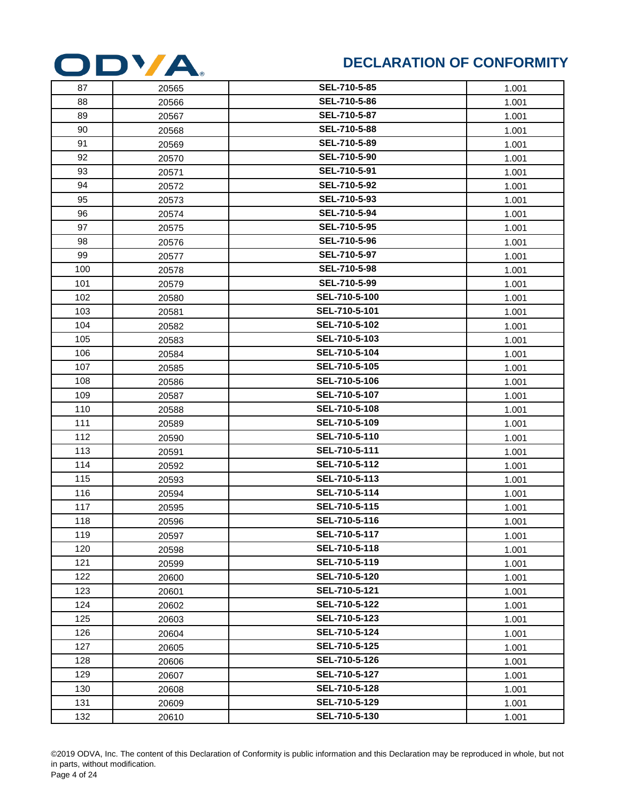

| 87  | 20565 | SEL-710-5-85  | 1.001 |
|-----|-------|---------------|-------|
| 88  | 20566 | SEL-710-5-86  | 1.001 |
| 89  | 20567 | SEL-710-5-87  | 1.001 |
| 90  | 20568 | SEL-710-5-88  | 1.001 |
| 91  | 20569 | SEL-710-5-89  | 1.001 |
| 92  | 20570 | SEL-710-5-90  | 1.001 |
| 93  | 20571 | SEL-710-5-91  | 1.001 |
| 94  | 20572 | SEL-710-5-92  | 1.001 |
| 95  | 20573 | SEL-710-5-93  | 1.001 |
| 96  | 20574 | SEL-710-5-94  | 1.001 |
| 97  | 20575 | SEL-710-5-95  | 1.001 |
| 98  | 20576 | SEL-710-5-96  | 1.001 |
| 99  | 20577 | SEL-710-5-97  | 1.001 |
| 100 | 20578 | SEL-710-5-98  | 1.001 |
| 101 | 20579 | SEL-710-5-99  | 1.001 |
| 102 | 20580 | SEL-710-5-100 | 1.001 |
| 103 | 20581 | SEL-710-5-101 | 1.001 |
| 104 | 20582 | SEL-710-5-102 | 1.001 |
| 105 | 20583 | SEL-710-5-103 | 1.001 |
| 106 | 20584 | SEL-710-5-104 | 1.001 |
| 107 | 20585 | SEL-710-5-105 | 1.001 |
| 108 | 20586 | SEL-710-5-106 | 1.001 |
| 109 | 20587 | SEL-710-5-107 | 1.001 |
| 110 | 20588 | SEL-710-5-108 | 1.001 |
| 111 | 20589 | SEL-710-5-109 | 1.001 |
| 112 | 20590 | SEL-710-5-110 | 1.001 |
| 113 | 20591 | SEL-710-5-111 | 1.001 |
| 114 | 20592 | SEL-710-5-112 | 1.001 |
| 115 | 20593 | SEL-710-5-113 | 1.001 |
| 116 | 20594 | SEL-710-5-114 | 1.001 |
| 117 | 20595 | SEL-710-5-115 | 1.001 |
| 118 | 20596 | SEL-710-5-116 | 1.001 |
| 119 | 20597 | SEL-710-5-117 | 1.001 |
| 120 | 20598 | SEL-710-5-118 | 1.001 |
| 121 | 20599 | SEL-710-5-119 | 1.001 |
| 122 | 20600 | SEL-710-5-120 | 1.001 |
| 123 | 20601 | SEL-710-5-121 | 1.001 |
| 124 | 20602 | SEL-710-5-122 | 1.001 |
| 125 | 20603 | SEL-710-5-123 | 1.001 |
| 126 | 20604 | SEL-710-5-124 | 1.001 |
| 127 | 20605 | SEL-710-5-125 | 1.001 |
| 128 | 20606 | SEL-710-5-126 | 1.001 |
| 129 | 20607 | SEL-710-5-127 | 1.001 |
| 130 | 20608 | SEL-710-5-128 | 1.001 |
| 131 | 20609 | SEL-710-5-129 | 1.001 |
| 132 | 20610 | SEL-710-5-130 | 1.001 |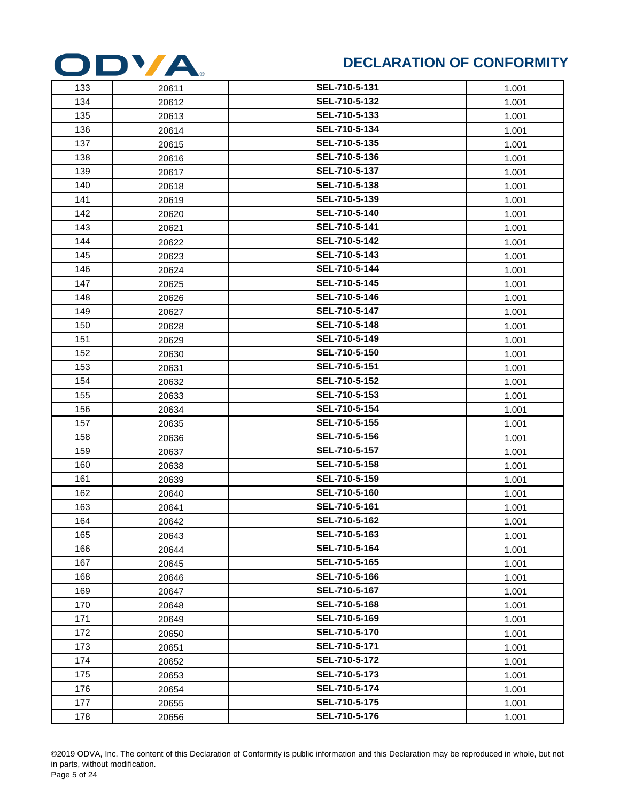

| 133 | 20611 | SEL-710-5-131 | 1.001 |
|-----|-------|---------------|-------|
| 134 | 20612 | SEL-710-5-132 | 1.001 |
| 135 | 20613 | SEL-710-5-133 | 1.001 |
| 136 | 20614 | SEL-710-5-134 | 1.001 |
| 137 | 20615 | SEL-710-5-135 | 1.001 |
| 138 | 20616 | SEL-710-5-136 | 1.001 |
| 139 | 20617 | SEL-710-5-137 | 1.001 |
| 140 | 20618 | SEL-710-5-138 | 1.001 |
| 141 | 20619 | SEL-710-5-139 | 1.001 |
| 142 | 20620 | SEL-710-5-140 | 1.001 |
| 143 | 20621 | SEL-710-5-141 | 1.001 |
| 144 | 20622 | SEL-710-5-142 | 1.001 |
| 145 | 20623 | SEL-710-5-143 | 1.001 |
| 146 | 20624 | SEL-710-5-144 | 1.001 |
| 147 | 20625 | SEL-710-5-145 | 1.001 |
| 148 | 20626 | SEL-710-5-146 | 1.001 |
| 149 | 20627 | SEL-710-5-147 | 1.001 |
| 150 | 20628 | SEL-710-5-148 | 1.001 |
| 151 | 20629 | SEL-710-5-149 | 1.001 |
| 152 | 20630 | SEL-710-5-150 | 1.001 |
| 153 | 20631 | SEL-710-5-151 | 1.001 |
| 154 | 20632 | SEL-710-5-152 | 1.001 |
| 155 | 20633 | SEL-710-5-153 | 1.001 |
| 156 | 20634 | SEL-710-5-154 | 1.001 |
| 157 | 20635 | SEL-710-5-155 | 1.001 |
| 158 | 20636 | SEL-710-5-156 | 1.001 |
| 159 | 20637 | SEL-710-5-157 | 1.001 |
| 160 | 20638 | SEL-710-5-158 | 1.001 |
| 161 | 20639 | SEL-710-5-159 | 1.001 |
| 162 | 20640 | SEL-710-5-160 | 1.001 |
| 163 | 20641 | SEL-710-5-161 | 1.001 |
| 164 | 20642 | SEL-710-5-162 | 1.001 |
| 165 | 20643 | SEL-710-5-163 | 1.001 |
| 166 | 20644 | SEL-710-5-164 | 1.001 |
| 167 | 20645 | SEL-710-5-165 | 1.001 |
| 168 | 20646 | SEL-710-5-166 | 1.001 |
| 169 | 20647 | SEL-710-5-167 | 1.001 |
| 170 | 20648 | SEL-710-5-168 | 1.001 |
| 171 | 20649 | SEL-710-5-169 | 1.001 |
| 172 | 20650 | SEL-710-5-170 | 1.001 |
| 173 | 20651 | SEL-710-5-171 | 1.001 |
| 174 | 20652 | SEL-710-5-172 | 1.001 |
| 175 | 20653 | SEL-710-5-173 | 1.001 |
| 176 | 20654 | SEL-710-5-174 | 1.001 |
| 177 | 20655 | SEL-710-5-175 | 1.001 |
| 178 | 20656 | SEL-710-5-176 | 1.001 |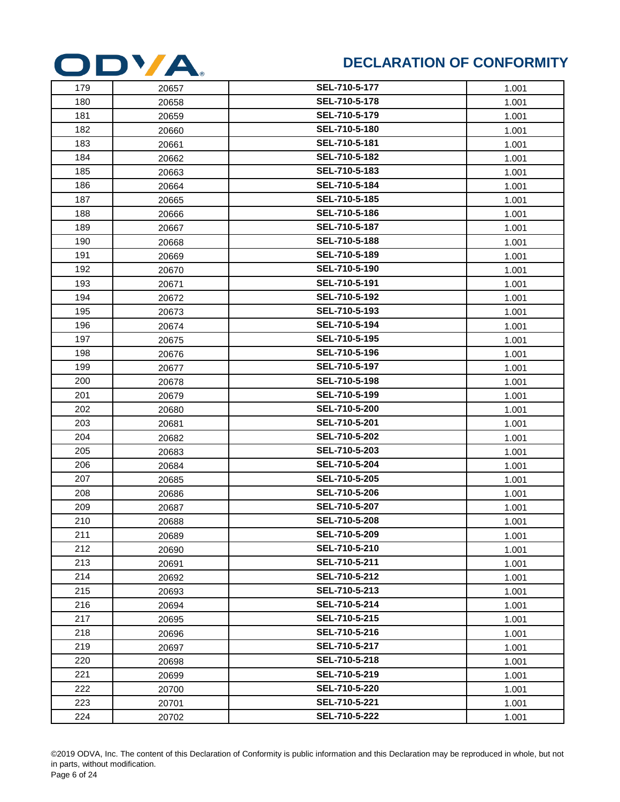

| 179 | 20657 | SEL-710-5-177 | 1.001 |
|-----|-------|---------------|-------|
| 180 | 20658 | SEL-710-5-178 | 1.001 |
| 181 | 20659 | SEL-710-5-179 | 1.001 |
| 182 | 20660 | SEL-710-5-180 | 1.001 |
| 183 | 20661 | SEL-710-5-181 | 1.001 |
| 184 | 20662 | SEL-710-5-182 | 1.001 |
| 185 | 20663 | SEL-710-5-183 | 1.001 |
| 186 | 20664 | SEL-710-5-184 | 1.001 |
| 187 | 20665 | SEL-710-5-185 | 1.001 |
| 188 | 20666 | SEL-710-5-186 | 1.001 |
| 189 | 20667 | SEL-710-5-187 | 1.001 |
| 190 | 20668 | SEL-710-5-188 | 1.001 |
| 191 | 20669 | SEL-710-5-189 | 1.001 |
| 192 | 20670 | SEL-710-5-190 | 1.001 |
| 193 | 20671 | SEL-710-5-191 | 1.001 |
| 194 | 20672 | SEL-710-5-192 | 1.001 |
| 195 | 20673 | SEL-710-5-193 | 1.001 |
| 196 | 20674 | SEL-710-5-194 | 1.001 |
| 197 | 20675 | SEL-710-5-195 | 1.001 |
| 198 | 20676 | SEL-710-5-196 | 1.001 |
| 199 | 20677 | SEL-710-5-197 | 1.001 |
| 200 | 20678 | SEL-710-5-198 | 1.001 |
| 201 | 20679 | SEL-710-5-199 | 1.001 |
| 202 | 20680 | SEL-710-5-200 | 1.001 |
| 203 | 20681 | SEL-710-5-201 | 1.001 |
| 204 | 20682 | SEL-710-5-202 | 1.001 |
| 205 | 20683 | SEL-710-5-203 | 1.001 |
| 206 | 20684 | SEL-710-5-204 | 1.001 |
| 207 | 20685 | SEL-710-5-205 | 1.001 |
| 208 | 20686 | SEL-710-5-206 | 1.001 |
| 209 | 20687 | SEL-710-5-207 | 1.001 |
| 210 | 20688 | SEL-710-5-208 | 1.001 |
| 211 | 20689 | SEL-710-5-209 | 1.001 |
| 212 | 20690 | SEL-710-5-210 | 1.001 |
| 213 | 20691 | SEL-710-5-211 | 1.001 |
| 214 | 20692 | SEL-710-5-212 | 1.001 |
| 215 | 20693 | SEL-710-5-213 | 1.001 |
| 216 | 20694 | SEL-710-5-214 | 1.001 |
| 217 | 20695 | SEL-710-5-215 | 1.001 |
| 218 | 20696 | SEL-710-5-216 | 1.001 |
| 219 | 20697 | SEL-710-5-217 | 1.001 |
| 220 | 20698 | SEL-710-5-218 | 1.001 |
| 221 | 20699 | SEL-710-5-219 | 1.001 |
| 222 | 20700 | SEL-710-5-220 | 1.001 |
| 223 | 20701 | SEL-710-5-221 | 1.001 |
| 224 | 20702 | SEL-710-5-222 | 1.001 |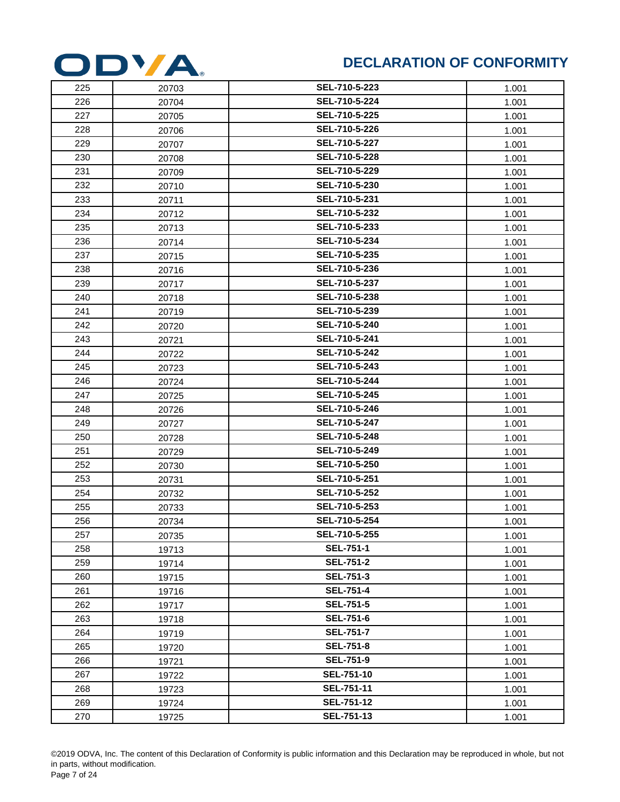

| 225 | 20703 | SEL-710-5-223     | 1.001 |
|-----|-------|-------------------|-------|
| 226 | 20704 | SEL-710-5-224     | 1.001 |
| 227 | 20705 | SEL-710-5-225     | 1.001 |
| 228 | 20706 | SEL-710-5-226     | 1.001 |
| 229 | 20707 | SEL-710-5-227     | 1.001 |
| 230 | 20708 | SEL-710-5-228     | 1.001 |
| 231 | 20709 | SEL-710-5-229     | 1.001 |
| 232 | 20710 | SEL-710-5-230     | 1.001 |
| 233 | 20711 | SEL-710-5-231     | 1.001 |
| 234 | 20712 | SEL-710-5-232     | 1.001 |
| 235 | 20713 | SEL-710-5-233     | 1.001 |
| 236 | 20714 | SEL-710-5-234     | 1.001 |
| 237 | 20715 | SEL-710-5-235     | 1.001 |
| 238 | 20716 | SEL-710-5-236     | 1.001 |
| 239 | 20717 | SEL-710-5-237     | 1.001 |
| 240 | 20718 | SEL-710-5-238     | 1.001 |
| 241 | 20719 | SEL-710-5-239     | 1.001 |
| 242 | 20720 | SEL-710-5-240     | 1.001 |
| 243 | 20721 | SEL-710-5-241     | 1.001 |
| 244 | 20722 | SEL-710-5-242     | 1.001 |
| 245 | 20723 | SEL-710-5-243     | 1.001 |
| 246 | 20724 | SEL-710-5-244     | 1.001 |
| 247 | 20725 | SEL-710-5-245     | 1.001 |
| 248 | 20726 | SEL-710-5-246     | 1.001 |
| 249 | 20727 | SEL-710-5-247     | 1.001 |
| 250 | 20728 | SEL-710-5-248     | 1.001 |
| 251 | 20729 | SEL-710-5-249     | 1.001 |
| 252 | 20730 | SEL-710-5-250     | 1.001 |
| 253 | 20731 | SEL-710-5-251     | 1.001 |
| 254 | 20732 | SEL-710-5-252     | 1.001 |
| 255 | 20733 | SEL-710-5-253     | 1.001 |
| 256 | 20734 | SEL-710-5-254     | 1.001 |
| 257 | 20735 | SEL-710-5-255     | 1.001 |
| 258 | 19713 | <b>SEL-751-1</b>  | 1.001 |
| 259 | 19714 | <b>SEL-751-2</b>  | 1.001 |
| 260 | 19715 | <b>SEL-751-3</b>  | 1.001 |
| 261 | 19716 | <b>SEL-751-4</b>  | 1.001 |
| 262 | 19717 | <b>SEL-751-5</b>  | 1.001 |
| 263 | 19718 | <b>SEL-751-6</b>  | 1.001 |
| 264 | 19719 | <b>SEL-751-7</b>  | 1.001 |
| 265 | 19720 | <b>SEL-751-8</b>  | 1.001 |
| 266 | 19721 | <b>SEL-751-9</b>  | 1.001 |
| 267 | 19722 | SEL-751-10        | 1.001 |
| 268 | 19723 | SEL-751-11        | 1.001 |
| 269 | 19724 | <b>SEL-751-12</b> | 1.001 |
| 270 | 19725 | <b>SEL-751-13</b> | 1.001 |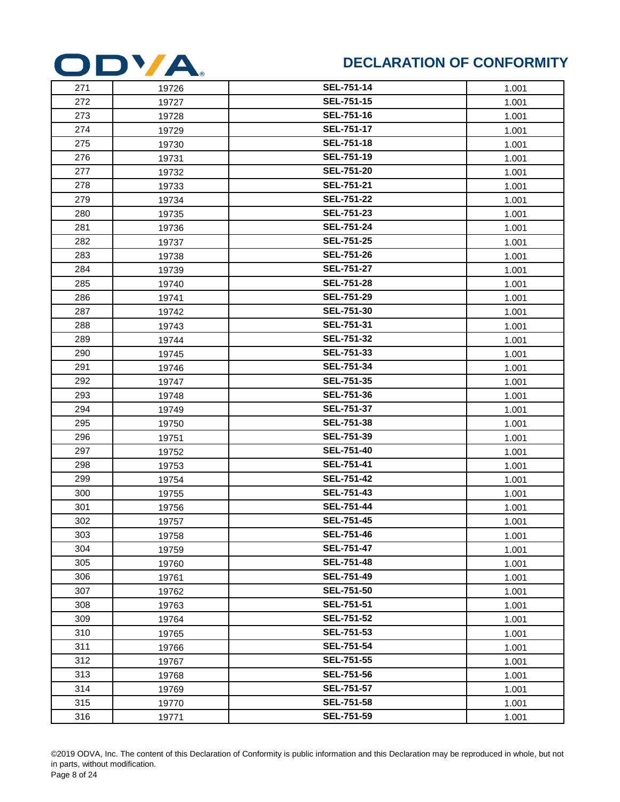

| 271 | 19726 | <b>SEL-751-14</b> | 1.001 |
|-----|-------|-------------------|-------|
| 272 | 19727 | <b>SEL-751-15</b> | 1.001 |
| 273 | 19728 | <b>SEL-751-16</b> | 1.001 |
| 274 | 19729 | <b>SEL-751-17</b> | 1.001 |
| 275 | 19730 | <b>SEL-751-18</b> | 1.001 |
| 276 | 19731 | <b>SEL-751-19</b> | 1.001 |
| 277 | 19732 | <b>SEL-751-20</b> | 1.001 |
| 278 | 19733 | <b>SEL-751-21</b> | 1.001 |
| 279 | 19734 | <b>SEL-751-22</b> | 1.001 |
| 280 | 19735 | <b>SEL-751-23</b> | 1.001 |
| 281 | 19736 | <b>SEL-751-24</b> | 1.001 |
| 282 | 19737 | <b>SEL-751-25</b> | 1.001 |
| 283 | 19738 | <b>SEL-751-26</b> | 1.001 |
| 284 | 19739 | <b>SEL-751-27</b> | 1.001 |
| 285 | 19740 | <b>SEL-751-28</b> | 1.001 |
| 286 | 19741 | <b>SEL-751-29</b> | 1.001 |
| 287 | 19742 | <b>SEL-751-30</b> | 1.001 |
| 288 | 19743 | <b>SEL-751-31</b> | 1.001 |
| 289 | 19744 | <b>SEL-751-32</b> | 1.001 |
| 290 | 19745 | <b>SEL-751-33</b> | 1.001 |
| 291 | 19746 | <b>SEL-751-34</b> | 1.001 |
| 292 | 19747 | <b>SEL-751-35</b> | 1.001 |
| 293 | 19748 | SEL-751-36        | 1.001 |
| 294 | 19749 | SEL-751-37        | 1.001 |
| 295 | 19750 | <b>SEL-751-38</b> | 1.001 |
| 296 | 19751 | <b>SEL-751-39</b> | 1.001 |
| 297 | 19752 | <b>SEL-751-40</b> | 1.001 |
| 298 | 19753 | <b>SEL-751-41</b> | 1.001 |
| 299 | 19754 | <b>SEL-751-42</b> | 1.001 |
| 300 | 19755 | <b>SEL-751-43</b> | 1.001 |
| 301 | 19756 | <b>SEL-751-44</b> | 1.001 |
| 302 | 19757 | <b>SEL-751-45</b> | 1.001 |
| 303 | 19758 | <b>SEL-751-46</b> | 1.001 |
| 304 | 19759 | <b>SEL-751-47</b> | 1.001 |
| 305 | 19760 | <b>SEL-751-48</b> | 1.001 |
| 306 | 19761 | <b>SEL-751-49</b> | 1.001 |
| 307 | 19762 | <b>SEL-751-50</b> | 1.001 |
| 308 | 19763 | SEL-751-51        | 1.001 |
| 309 | 19764 | SEL-751-52        | 1.001 |
| 310 | 19765 | <b>SEL-751-53</b> | 1.001 |
| 311 | 19766 | <b>SEL-751-54</b> | 1.001 |
| 312 | 19767 | <b>SEL-751-55</b> | 1.001 |
| 313 | 19768 | <b>SEL-751-56</b> | 1.001 |
| 314 | 19769 | <b>SEL-751-57</b> | 1.001 |
| 315 | 19770 | <b>SEL-751-58</b> | 1.001 |
| 316 | 19771 | <b>SEL-751-59</b> | 1.001 |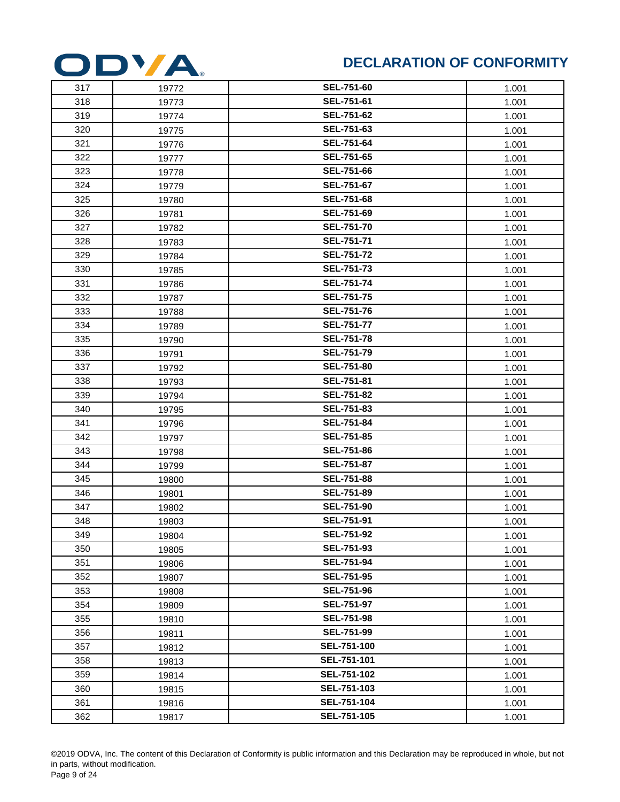

| 317 | 19772 | <b>SEL-751-60</b> | 1.001 |
|-----|-------|-------------------|-------|
| 318 | 19773 | SEL-751-61        | 1.001 |
| 319 | 19774 | <b>SEL-751-62</b> | 1.001 |
| 320 | 19775 | SEL-751-63        | 1.001 |
| 321 | 19776 | <b>SEL-751-64</b> | 1.001 |
| 322 | 19777 | SEL-751-65        | 1.001 |
| 323 | 19778 | SEL-751-66        | 1.001 |
| 324 | 19779 | <b>SEL-751-67</b> | 1.001 |
| 325 | 19780 | <b>SEL-751-68</b> | 1.001 |
| 326 | 19781 | SEL-751-69        | 1.001 |
| 327 | 19782 | <b>SEL-751-70</b> | 1.001 |
| 328 | 19783 | <b>SEL-751-71</b> | 1.001 |
| 329 | 19784 | <b>SEL-751-72</b> | 1.001 |
| 330 | 19785 | <b>SEL-751-73</b> | 1.001 |
| 331 | 19786 | <b>SEL-751-74</b> | 1.001 |
| 332 | 19787 | <b>SEL-751-75</b> | 1.001 |
| 333 | 19788 | <b>SEL-751-76</b> | 1.001 |
| 334 | 19789 | <b>SEL-751-77</b> | 1.001 |
| 335 | 19790 | <b>SEL-751-78</b> | 1.001 |
| 336 | 19791 | <b>SEL-751-79</b> | 1.001 |
| 337 | 19792 | <b>SEL-751-80</b> | 1.001 |
| 338 | 19793 | SEL-751-81        | 1.001 |
| 339 | 19794 | <b>SEL-751-82</b> | 1.001 |
| 340 | 19795 | SEL-751-83        | 1.001 |
| 341 | 19796 | <b>SEL-751-84</b> | 1.001 |
| 342 | 19797 | SEL-751-85        | 1.001 |
| 343 | 19798 | <b>SEL-751-86</b> | 1.001 |
| 344 | 19799 | SEL-751-87        | 1.001 |
| 345 | 19800 | SEL-751-88        | 1.001 |
| 346 | 19801 | SEL-751-89        | 1.001 |
| 347 | 19802 | <b>SEL-751-90</b> | 1.001 |
| 348 | 19803 | <b>SEL-751-91</b> | 1.001 |
| 349 | 19804 | <b>SEL-751-92</b> | 1.001 |
| 350 | 19805 | <b>SEL-751-93</b> | 1.001 |
| 351 | 19806 | <b>SEL-751-94</b> | 1.001 |
| 352 | 19807 | <b>SEL-751-95</b> | 1.001 |
| 353 | 19808 | <b>SEL-751-96</b> | 1.001 |
| 354 | 19809 | <b>SEL-751-97</b> | 1.001 |
| 355 | 19810 | SEL-751-98        | 1.001 |
| 356 | 19811 | <b>SEL-751-99</b> | 1.001 |
| 357 | 19812 | SEL-751-100       | 1.001 |
| 358 | 19813 | SEL-751-101       | 1.001 |
| 359 | 19814 | SEL-751-102       | 1.001 |
| 360 | 19815 | SEL-751-103       | 1.001 |
| 361 | 19816 | SEL-751-104       | 1.001 |
| 362 | 19817 | SEL-751-105       | 1.001 |
|     |       |                   |       |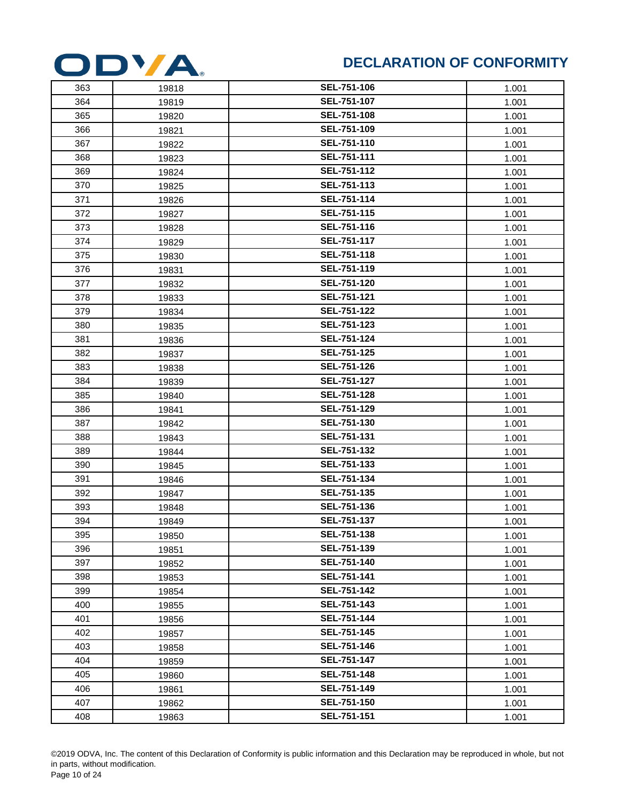

| 363 | 19818 | SEL-751-106        | 1.001 |
|-----|-------|--------------------|-------|
| 364 | 19819 | SEL-751-107        | 1.001 |
| 365 | 19820 | <b>SEL-751-108</b> | 1.001 |
| 366 | 19821 | SEL-751-109        | 1.001 |
| 367 | 19822 | SEL-751-110        | 1.001 |
| 368 | 19823 | SEL-751-111        | 1.001 |
| 369 | 19824 | SEL-751-112        | 1.001 |
| 370 | 19825 | SEL-751-113        | 1.001 |
| 371 | 19826 | SEL-751-114        | 1.001 |
| 372 | 19827 | SEL-751-115        | 1.001 |
| 373 | 19828 | SEL-751-116        | 1.001 |
| 374 | 19829 | SEL-751-117        | 1.001 |
| 375 | 19830 | SEL-751-118        | 1.001 |
| 376 | 19831 | SEL-751-119        | 1.001 |
| 377 | 19832 | SEL-751-120        | 1.001 |
| 378 | 19833 | SEL-751-121        | 1.001 |
| 379 | 19834 | SEL-751-122        | 1.001 |
| 380 | 19835 | SEL-751-123        | 1.001 |
| 381 | 19836 | SEL-751-124        | 1.001 |
| 382 | 19837 | SEL-751-125        | 1.001 |
| 383 | 19838 | SEL-751-126        | 1.001 |
| 384 | 19839 | SEL-751-127        | 1.001 |
| 385 | 19840 | SEL-751-128        | 1.001 |
| 386 | 19841 | SEL-751-129        | 1.001 |
| 387 | 19842 | SEL-751-130        | 1.001 |
| 388 | 19843 | SEL-751-131        | 1.001 |
| 389 | 19844 | SEL-751-132        | 1.001 |
| 390 | 19845 | SEL-751-133        | 1.001 |
| 391 | 19846 | SEL-751-134        | 1.001 |
| 392 | 19847 | SEL-751-135        | 1.001 |
| 393 | 19848 | SEL-751-136        | 1.001 |
| 394 | 19849 | SEL-751-137        | 1.001 |
| 395 | 19850 | SEL-751-138        | 1.001 |
| 396 | 19851 | SEL-751-139        | 1.001 |
| 397 | 19852 | <b>SEL-751-140</b> | 1.001 |
| 398 | 19853 | SEL-751-141        | 1.001 |
| 399 | 19854 | SEL-751-142        | 1.001 |
| 400 | 19855 | SEL-751-143        | 1.001 |
| 401 | 19856 | SEL-751-144        | 1.001 |
| 402 | 19857 | SEL-751-145        | 1.001 |
| 403 | 19858 | SEL-751-146        | 1.001 |
| 404 | 19859 | SEL-751-147        | 1.001 |
| 405 | 19860 | SEL-751-148        | 1.001 |
| 406 | 19861 | SEL-751-149        | 1.001 |
| 407 | 19862 | SEL-751-150        | 1.001 |
| 408 | 19863 | SEL-751-151        | 1.001 |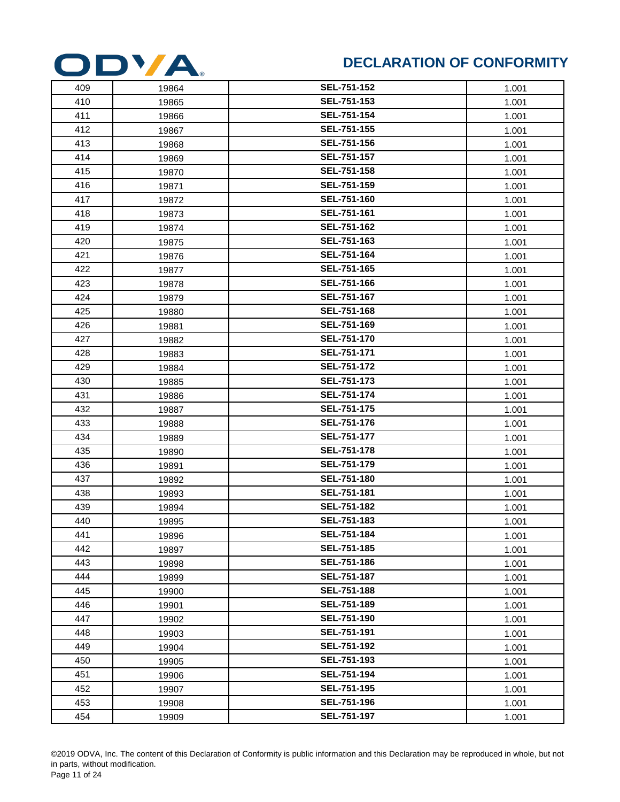

| 409 | 19864 | SEL-751-152        | 1.001 |
|-----|-------|--------------------|-------|
| 410 | 19865 | SEL-751-153        | 1.001 |
| 411 | 19866 | <b>SEL-751-154</b> | 1.001 |
| 412 | 19867 | SEL-751-155        | 1.001 |
| 413 | 19868 | SEL-751-156        | 1.001 |
| 414 | 19869 | SEL-751-157        | 1.001 |
| 415 | 19870 | SEL-751-158        | 1.001 |
| 416 | 19871 | SEL-751-159        | 1.001 |
| 417 | 19872 | SEL-751-160        | 1.001 |
| 418 | 19873 | SEL-751-161        | 1.001 |
| 419 | 19874 | SEL-751-162        | 1.001 |
| 420 | 19875 | SEL-751-163        | 1.001 |
| 421 | 19876 | SEL-751-164        | 1.001 |
| 422 | 19877 | SEL-751-165        | 1.001 |
| 423 | 19878 | SEL-751-166        | 1.001 |
| 424 | 19879 | SEL-751-167        | 1.001 |
| 425 | 19880 | SEL-751-168        | 1.001 |
| 426 | 19881 | SEL-751-169        | 1.001 |
| 427 | 19882 | SEL-751-170        | 1.001 |
| 428 | 19883 | SEL-751-171        | 1.001 |
| 429 | 19884 | SEL-751-172        | 1.001 |
| 430 | 19885 | SEL-751-173        | 1.001 |
| 431 | 19886 | <b>SEL-751-174</b> | 1.001 |
| 432 | 19887 | SEL-751-175        | 1.001 |
| 433 | 19888 | SEL-751-176        | 1.001 |
| 434 | 19889 | SEL-751-177        | 1.001 |
| 435 | 19890 | SEL-751-178        | 1.001 |
| 436 | 19891 | <b>SEL-751-179</b> | 1.001 |
| 437 | 19892 | SEL-751-180        | 1.001 |
| 438 | 19893 | SEL-751-181        | 1.001 |
| 439 | 19894 | SEL-751-182        | 1.001 |
| 440 | 19895 | SEL-751-183        | 1.001 |
| 441 | 19896 | SEL-751-184        | 1.001 |
| 442 | 19897 | SEL-751-185        | 1.001 |
| 443 | 19898 | SEL-751-186        | 1.001 |
| 444 | 19899 | SEL-751-187        | 1.001 |
| 445 | 19900 | SEL-751-188        | 1.001 |
| 446 | 19901 | SEL-751-189        | 1.001 |
| 447 | 19902 | SEL-751-190        | 1.001 |
| 448 | 19903 | SEL-751-191        | 1.001 |
| 449 | 19904 | SEL-751-192        | 1.001 |
| 450 | 19905 | SEL-751-193        | 1.001 |
| 451 | 19906 | SEL-751-194        | 1.001 |
| 452 | 19907 | SEL-751-195        | 1.001 |
| 453 | 19908 | SEL-751-196        | 1.001 |
| 454 | 19909 | SEL-751-197        | 1.001 |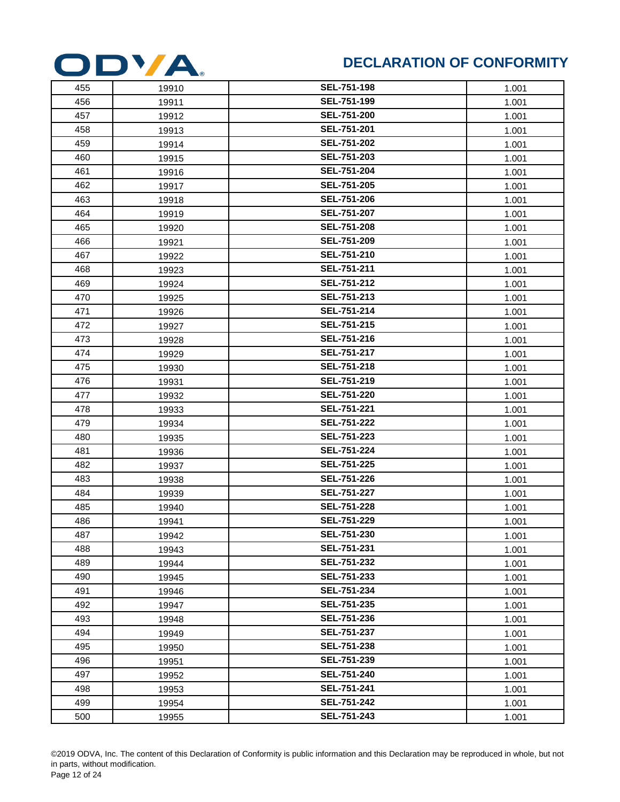

| 455 | 19910 | <b>SEL-751-198</b> | 1.001 |
|-----|-------|--------------------|-------|
| 456 | 19911 | SEL-751-199        | 1.001 |
| 457 | 19912 | SEL-751-200        | 1.001 |
| 458 | 19913 | SEL-751-201        | 1.001 |
| 459 | 19914 | SEL-751-202        | 1.001 |
| 460 | 19915 | <b>SEL-751-203</b> | 1.001 |
| 461 | 19916 | SEL-751-204        | 1.001 |
| 462 | 19917 | <b>SEL-751-205</b> | 1.001 |
| 463 | 19918 | <b>SEL-751-206</b> | 1.001 |
| 464 | 19919 | SEL-751-207        | 1.001 |
| 465 | 19920 | SEL-751-208        | 1.001 |
| 466 | 19921 | SEL-751-209        | 1.001 |
| 467 | 19922 | SEL-751-210        | 1.001 |
| 468 | 19923 | SEL-751-211        | 1.001 |
| 469 | 19924 | SEL-751-212        | 1.001 |
| 470 | 19925 | <b>SEL-751-213</b> | 1.001 |
| 471 | 19926 | SEL-751-214        | 1.001 |
| 472 | 19927 | SEL-751-215        | 1.001 |
| 473 | 19928 | SEL-751-216        | 1.001 |
| 474 | 19929 | SEL-751-217        | 1.001 |
| 475 | 19930 | SEL-751-218        | 1.001 |
| 476 | 19931 | SEL-751-219        | 1.001 |
| 477 | 19932 | <b>SEL-751-220</b> | 1.001 |
| 478 | 19933 | SEL-751-221        | 1.001 |
| 479 | 19934 | SEL-751-222        | 1.001 |
| 480 | 19935 | SEL-751-223        | 1.001 |
| 481 | 19936 | SEL-751-224        | 1.001 |
| 482 | 19937 | SEL-751-225        | 1.001 |
| 483 | 19938 | SEL-751-226        | 1.001 |
| 484 | 19939 | SEL-751-227        | 1.001 |
| 485 | 19940 | SEL-751-228        | 1.001 |
| 486 | 19941 | SEL-751-229        | 1.001 |
| 487 | 19942 | SEL-751-230        | 1.001 |
| 488 | 19943 | SEL-751-231        | 1.001 |
| 489 | 19944 | SEL-751-232        | 1.001 |
| 490 | 19945 | SEL-751-233        | 1.001 |
| 491 | 19946 | SEL-751-234        | 1.001 |
| 492 | 19947 | SEL-751-235        | 1.001 |
| 493 | 19948 | SEL-751-236        | 1.001 |
| 494 | 19949 | SEL-751-237        | 1.001 |
| 495 | 19950 | SEL-751-238        | 1.001 |
| 496 | 19951 | SEL-751-239        | 1.001 |
| 497 | 19952 | SEL-751-240        | 1.001 |
| 498 | 19953 | SEL-751-241        | 1.001 |
| 499 | 19954 | SEL-751-242        | 1.001 |
| 500 | 19955 | SEL-751-243        | 1.001 |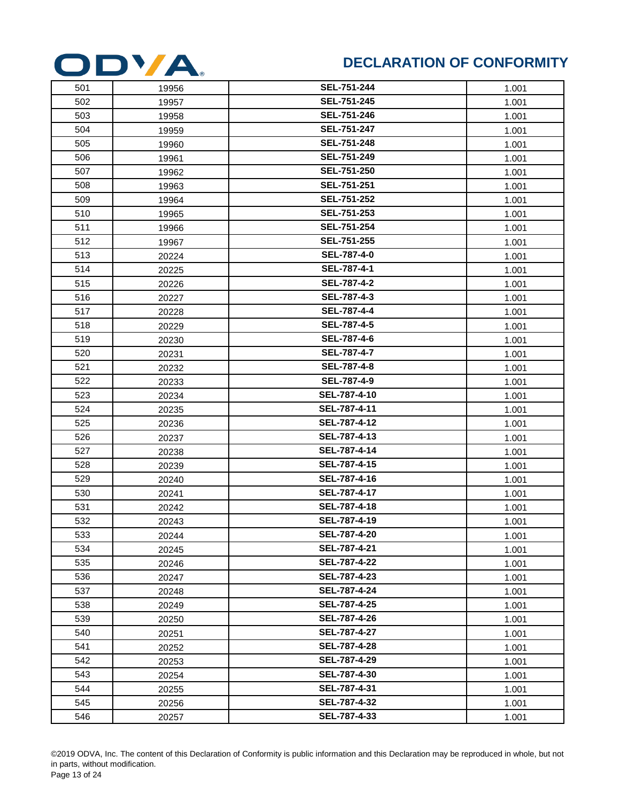

| 501 | 19956 | <b>SEL-751-244</b> | 1.001 |
|-----|-------|--------------------|-------|
| 502 | 19957 | SEL-751-245        | 1.001 |
| 503 | 19958 | SEL-751-246        | 1.001 |
| 504 | 19959 | SEL-751-247        | 1.001 |
| 505 | 19960 | SEL-751-248        | 1.001 |
| 506 | 19961 | SEL-751-249        | 1.001 |
| 507 | 19962 | SEL-751-250        | 1.001 |
| 508 | 19963 | SEL-751-251        | 1.001 |
| 509 | 19964 | SEL-751-252        | 1.001 |
| 510 | 19965 | SEL-751-253        | 1.001 |
| 511 | 19966 | SEL-751-254        | 1.001 |
| 512 | 19967 | SEL-751-255        | 1.001 |
| 513 | 20224 | <b>SEL-787-4-0</b> | 1.001 |
| 514 | 20225 | SEL-787-4-1        | 1.001 |
| 515 | 20226 | SEL-787-4-2        | 1.001 |
| 516 | 20227 | SEL-787-4-3        | 1.001 |
| 517 | 20228 | <b>SEL-787-4-4</b> | 1.001 |
| 518 | 20229 | <b>SEL-787-4-5</b> | 1.001 |
| 519 | 20230 | SEL-787-4-6        | 1.001 |
| 520 | 20231 | SEL-787-4-7        | 1.001 |
| 521 | 20232 | <b>SEL-787-4-8</b> | 1.001 |
| 522 | 20233 | <b>SEL-787-4-9</b> | 1.001 |
| 523 | 20234 | SEL-787-4-10       | 1.001 |
| 524 | 20235 | SEL-787-4-11       | 1.001 |
| 525 | 20236 | SEL-787-4-12       | 1.001 |
| 526 | 20237 | SEL-787-4-13       | 1.001 |
| 527 | 20238 | SEL-787-4-14       | 1.001 |
| 528 | 20239 | SEL-787-4-15       | 1.001 |
| 529 | 20240 | SEL-787-4-16       | 1.001 |
| 530 | 20241 | SEL-787-4-17       | 1.001 |
| 531 | 20242 | SEL-787-4-18       | 1.001 |
| 532 | 20243 | SEL-787-4-19       | 1.001 |
| 533 | 20244 | SEL-787-4-20       | 1.001 |
| 534 | 20245 | SEL-787-4-21       | 1.001 |
| 535 | 20246 | SEL-787-4-22       | 1.001 |
| 536 | 20247 | SEL-787-4-23       | 1.001 |
| 537 | 20248 | SEL-787-4-24       | 1.001 |
| 538 | 20249 | SEL-787-4-25       | 1.001 |
| 539 | 20250 | SEL-787-4-26       | 1.001 |
| 540 | 20251 | SEL-787-4-27       | 1.001 |
| 541 | 20252 | SEL-787-4-28       | 1.001 |
| 542 | 20253 | SEL-787-4-29       | 1.001 |
| 543 | 20254 | SEL-787-4-30       | 1.001 |
| 544 | 20255 | SEL-787-4-31       | 1.001 |
| 545 | 20256 | SEL-787-4-32       | 1.001 |
| 546 | 20257 | SEL-787-4-33       | 1.001 |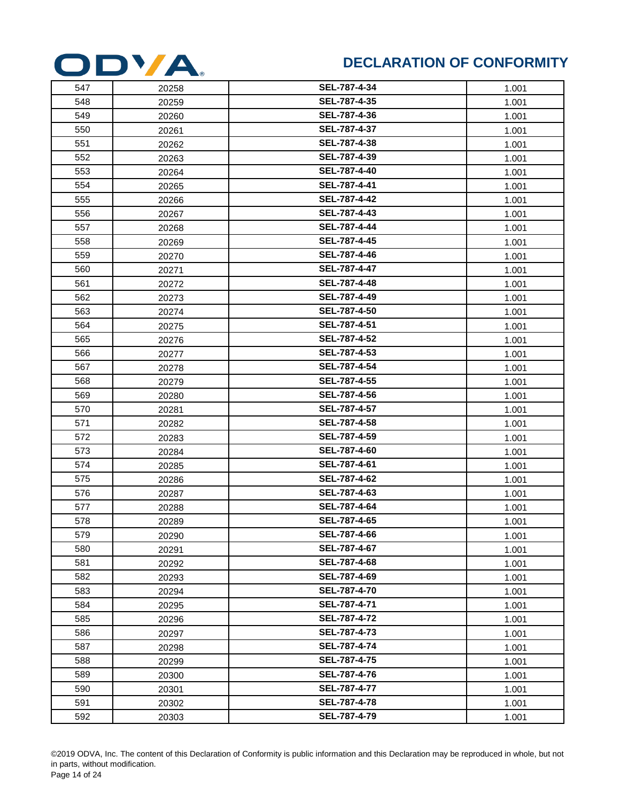

| 547 | 20258 | SEL-787-4-34        | 1.001 |
|-----|-------|---------------------|-------|
| 548 | 20259 | SEL-787-4-35        | 1.001 |
| 549 | 20260 | SEL-787-4-36        | 1.001 |
| 550 | 20261 | SEL-787-4-37        | 1.001 |
| 551 | 20262 | SEL-787-4-38        | 1.001 |
| 552 | 20263 | SEL-787-4-39        | 1.001 |
| 553 | 20264 | SEL-787-4-40        | 1.001 |
| 554 | 20265 | SEL-787-4-41        | 1.001 |
| 555 | 20266 | SEL-787-4-42        | 1.001 |
| 556 | 20267 | SEL-787-4-43        | 1.001 |
| 557 | 20268 | SEL-787-4-44        | 1.001 |
| 558 | 20269 | SEL-787-4-45        | 1.001 |
| 559 | 20270 | SEL-787-4-46        | 1.001 |
| 560 | 20271 | SEL-787-4-47        | 1.001 |
| 561 | 20272 | SEL-787-4-48        | 1.001 |
| 562 | 20273 | SEL-787-4-49        | 1.001 |
| 563 | 20274 | SEL-787-4-50        | 1.001 |
| 564 | 20275 | SEL-787-4-51        | 1.001 |
| 565 | 20276 | SEL-787-4-52        | 1.001 |
| 566 | 20277 | SEL-787-4-53        | 1.001 |
| 567 | 20278 | SEL-787-4-54        | 1.001 |
| 568 | 20279 | SEL-787-4-55        | 1.001 |
| 569 | 20280 | SEL-787-4-56        | 1.001 |
| 570 | 20281 | SEL-787-4-57        | 1.001 |
| 571 | 20282 | SEL-787-4-58        | 1.001 |
| 572 | 20283 | SEL-787-4-59        | 1.001 |
| 573 | 20284 | SEL-787-4-60        | 1.001 |
| 574 | 20285 | SEL-787-4-61        | 1.001 |
| 575 | 20286 | SEL-787-4-62        | 1.001 |
| 576 | 20287 | SEL-787-4-63        | 1.001 |
| 577 | 20288 | SEL-787-4-64        | 1.001 |
| 578 | 20289 | SEL-787-4-65        | 1.001 |
| 579 | 20290 | SEL-787-4-66        | 1.001 |
| 580 | 20291 | SEL-787-4-67        | 1.001 |
| 581 | 20292 | SEL-787-4-68        | 1.001 |
| 582 | 20293 | SEL-787-4-69        | 1.001 |
| 583 | 20294 | SEL-787-4-70        | 1.001 |
| 584 | 20295 | SEL-787-4-71        | 1.001 |
| 585 | 20296 | SEL-787-4-72        | 1.001 |
| 586 | 20297 | SEL-787-4-73        | 1.001 |
| 587 | 20298 | SEL-787-4-74        | 1.001 |
| 588 | 20299 | SEL-787-4-75        | 1.001 |
| 589 | 20300 | SEL-787-4-76        | 1.001 |
| 590 | 20301 | SEL-787-4-77        | 1.001 |
| 591 | 20302 | <b>SEL-787-4-78</b> | 1.001 |
| 592 | 20303 | SEL-787-4-79        | 1.001 |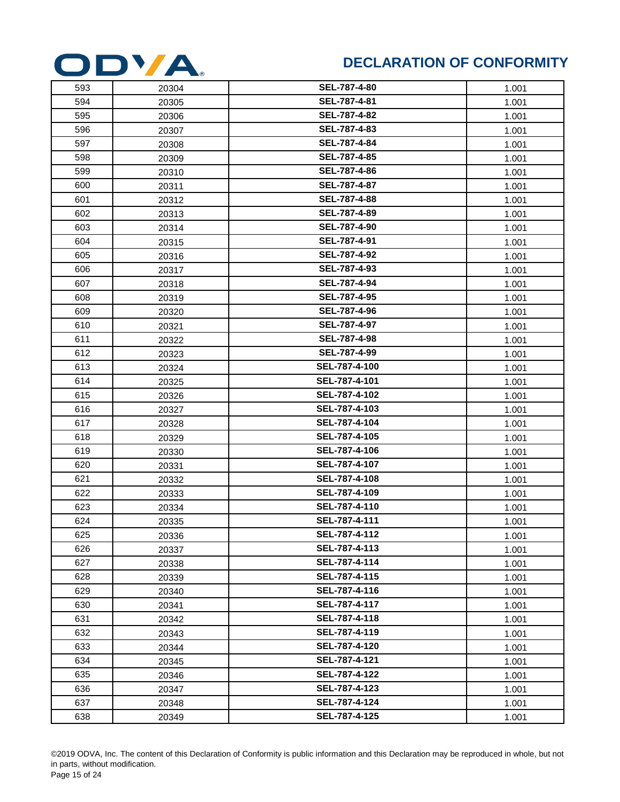

| 593 | 20304 | <b>SEL-787-4-80</b> | 1.001 |
|-----|-------|---------------------|-------|
| 594 | 20305 | SEL-787-4-81        | 1.001 |
| 595 | 20306 | SEL-787-4-82        | 1.001 |
| 596 | 20307 | SEL-787-4-83        | 1.001 |
| 597 | 20308 | SEL-787-4-84        | 1.001 |
| 598 | 20309 | SEL-787-4-85        | 1.001 |
| 599 | 20310 | SEL-787-4-86        | 1.001 |
| 600 | 20311 | SEL-787-4-87        | 1.001 |
| 601 | 20312 | SEL-787-4-88        | 1.001 |
| 602 | 20313 | SEL-787-4-89        | 1.001 |
| 603 | 20314 | <b>SEL-787-4-90</b> | 1.001 |
| 604 | 20315 | SEL-787-4-91        | 1.001 |
| 605 | 20316 | SEL-787-4-92        | 1.001 |
| 606 | 20317 | SEL-787-4-93        | 1.001 |
| 607 | 20318 | SEL-787-4-94        | 1.001 |
| 608 | 20319 | SEL-787-4-95        | 1.001 |
| 609 | 20320 | SEL-787-4-96        | 1.001 |
| 610 | 20321 | SEL-787-4-97        | 1.001 |
| 611 | 20322 | SEL-787-4-98        | 1.001 |
| 612 | 20323 | SEL-787-4-99        | 1.001 |
| 613 | 20324 | SEL-787-4-100       | 1.001 |
| 614 | 20325 | SEL-787-4-101       | 1.001 |
| 615 | 20326 | SEL-787-4-102       | 1.001 |
| 616 | 20327 | SEL-787-4-103       | 1.001 |
| 617 | 20328 | SEL-787-4-104       | 1.001 |
| 618 | 20329 | SEL-787-4-105       | 1.001 |
| 619 | 20330 | SEL-787-4-106       | 1.001 |
| 620 | 20331 | SEL-787-4-107       | 1.001 |
| 621 | 20332 | SEL-787-4-108       | 1.001 |
| 622 | 20333 | SEL-787-4-109       | 1.001 |
| 623 | 20334 | SEL-787-4-110       | 1.001 |
| 624 | 20335 | SEL-787-4-111       | 1.001 |
| 625 | 20336 | SEL-787-4-112       | 1.001 |
| 626 | 20337 | SEL-787-4-113       | 1.001 |
| 627 | 20338 | SEL-787-4-114       | 1.001 |
| 628 | 20339 | SEL-787-4-115       | 1.001 |
| 629 | 20340 | SEL-787-4-116       | 1.001 |
| 630 | 20341 | SEL-787-4-117       | 1.001 |
| 631 | 20342 | SEL-787-4-118       | 1.001 |
| 632 | 20343 | SEL-787-4-119       | 1.001 |
| 633 | 20344 | SEL-787-4-120       | 1.001 |
| 634 | 20345 | SEL-787-4-121       | 1.001 |
| 635 | 20346 | SEL-787-4-122       | 1.001 |
| 636 | 20347 | SEL-787-4-123       | 1.001 |
| 637 | 20348 | SEL-787-4-124       | 1.001 |
| 638 | 20349 | SEL-787-4-125       | 1.001 |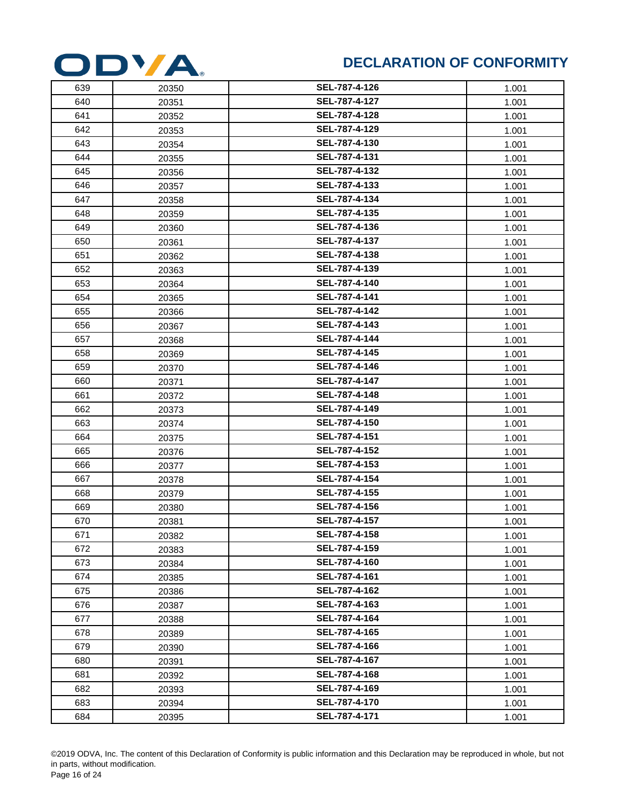

| 639 | 20350 | SEL-787-4-126 | 1.001 |
|-----|-------|---------------|-------|
| 640 | 20351 | SEL-787-4-127 | 1.001 |
| 641 | 20352 | SEL-787-4-128 | 1.001 |
| 642 | 20353 | SEL-787-4-129 | 1.001 |
| 643 | 20354 | SEL-787-4-130 | 1.001 |
| 644 | 20355 | SEL-787-4-131 | 1.001 |
| 645 | 20356 | SEL-787-4-132 | 1.001 |
| 646 | 20357 | SEL-787-4-133 | 1.001 |
| 647 | 20358 | SEL-787-4-134 | 1.001 |
| 648 | 20359 | SEL-787-4-135 | 1.001 |
| 649 | 20360 | SEL-787-4-136 | 1.001 |
| 650 | 20361 | SEL-787-4-137 | 1.001 |
| 651 | 20362 | SEL-787-4-138 | 1.001 |
| 652 | 20363 | SEL-787-4-139 | 1.001 |
| 653 | 20364 | SEL-787-4-140 | 1.001 |
| 654 | 20365 | SEL-787-4-141 | 1.001 |
| 655 | 20366 | SEL-787-4-142 | 1.001 |
| 656 | 20367 | SEL-787-4-143 | 1.001 |
| 657 | 20368 | SEL-787-4-144 | 1.001 |
| 658 | 20369 | SEL-787-4-145 | 1.001 |
| 659 | 20370 | SEL-787-4-146 | 1.001 |
| 660 | 20371 | SEL-787-4-147 | 1.001 |
| 661 | 20372 | SEL-787-4-148 | 1.001 |
| 662 | 20373 | SEL-787-4-149 | 1.001 |
| 663 | 20374 | SEL-787-4-150 | 1.001 |
| 664 | 20375 | SEL-787-4-151 | 1.001 |
| 665 | 20376 | SEL-787-4-152 | 1.001 |
| 666 | 20377 | SEL-787-4-153 | 1.001 |
| 667 | 20378 | SEL-787-4-154 | 1.001 |
| 668 | 20379 | SEL-787-4-155 | 1.001 |
| 669 | 20380 | SEL-787-4-156 | 1.001 |
| 670 | 20381 | SEL-787-4-157 | 1.001 |
| 671 | 20382 | SEL-787-4-158 | 1.001 |
| 672 | 20383 | SEL-787-4-159 | 1.001 |
| 673 | 20384 | SEL-787-4-160 | 1.001 |
| 674 | 20385 | SEL-787-4-161 | 1.001 |
| 675 | 20386 | SEL-787-4-162 | 1.001 |
| 676 | 20387 | SEL-787-4-163 | 1.001 |
| 677 | 20388 | SEL-787-4-164 | 1.001 |
| 678 | 20389 | SEL-787-4-165 | 1.001 |
| 679 | 20390 | SEL-787-4-166 | 1.001 |
| 680 | 20391 | SEL-787-4-167 | 1.001 |
| 681 | 20392 | SEL-787-4-168 | 1.001 |
| 682 | 20393 | SEL-787-4-169 | 1.001 |
| 683 | 20394 | SEL-787-4-170 | 1.001 |
| 684 | 20395 | SEL-787-4-171 | 1.001 |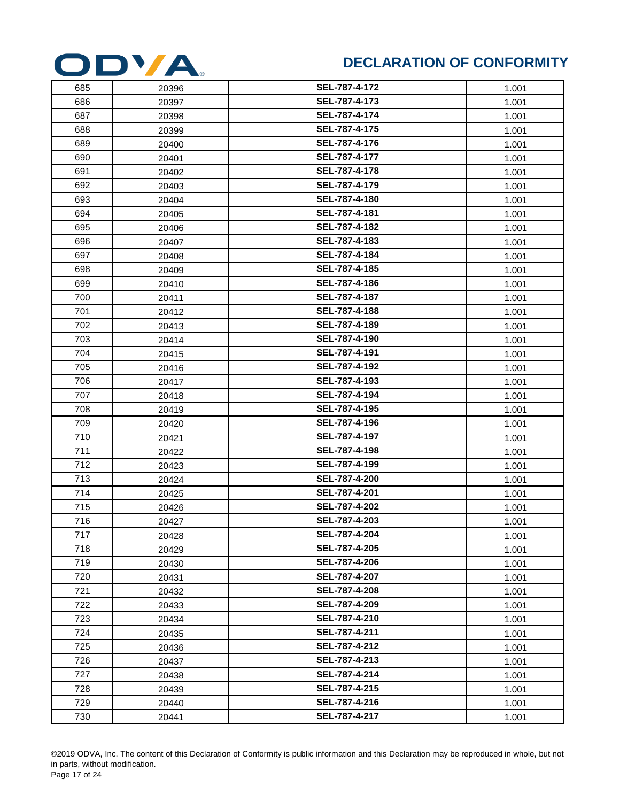

| 685 | 20396 | SEL-787-4-172 | 1.001 |
|-----|-------|---------------|-------|
| 686 | 20397 | SEL-787-4-173 | 1.001 |
| 687 | 20398 | SEL-787-4-174 | 1.001 |
| 688 | 20399 | SEL-787-4-175 | 1.001 |
| 689 | 20400 | SEL-787-4-176 | 1.001 |
| 690 | 20401 | SEL-787-4-177 | 1.001 |
| 691 | 20402 | SEL-787-4-178 | 1.001 |
| 692 | 20403 | SEL-787-4-179 | 1.001 |
| 693 | 20404 | SEL-787-4-180 | 1.001 |
| 694 | 20405 | SEL-787-4-181 | 1.001 |
| 695 | 20406 | SEL-787-4-182 | 1.001 |
| 696 | 20407 | SEL-787-4-183 | 1.001 |
| 697 | 20408 | SEL-787-4-184 | 1.001 |
| 698 | 20409 | SEL-787-4-185 | 1.001 |
| 699 | 20410 | SEL-787-4-186 | 1.001 |
| 700 | 20411 | SEL-787-4-187 | 1.001 |
| 701 | 20412 | SEL-787-4-188 | 1.001 |
| 702 | 20413 | SEL-787-4-189 | 1.001 |
| 703 | 20414 | SEL-787-4-190 | 1.001 |
| 704 | 20415 | SEL-787-4-191 | 1.001 |
| 705 | 20416 | SEL-787-4-192 | 1.001 |
| 706 | 20417 | SEL-787-4-193 | 1.001 |
| 707 | 20418 | SEL-787-4-194 | 1.001 |
| 708 | 20419 | SEL-787-4-195 | 1.001 |
| 709 | 20420 | SEL-787-4-196 | 1.001 |
| 710 | 20421 | SEL-787-4-197 | 1.001 |
| 711 | 20422 | SEL-787-4-198 | 1.001 |
| 712 | 20423 | SEL-787-4-199 | 1.001 |
| 713 | 20424 | SEL-787-4-200 | 1.001 |
| 714 | 20425 | SEL-787-4-201 | 1.001 |
| 715 | 20426 | SEL-787-4-202 | 1.001 |
| 716 | 20427 | SEL-787-4-203 | 1.001 |
| 717 | 20428 | SEL-787-4-204 | 1.001 |
| 718 | 20429 | SEL-787-4-205 | 1.001 |
| 719 | 20430 | SEL-787-4-206 | 1.001 |
| 720 | 20431 | SEL-787-4-207 | 1.001 |
| 721 | 20432 | SEL-787-4-208 | 1.001 |
| 722 | 20433 | SEL-787-4-209 | 1.001 |
| 723 | 20434 | SEL-787-4-210 | 1.001 |
| 724 | 20435 | SEL-787-4-211 | 1.001 |
| 725 | 20436 | SEL-787-4-212 | 1.001 |
| 726 | 20437 | SEL-787-4-213 | 1.001 |
| 727 | 20438 | SEL-787-4-214 | 1.001 |
| 728 | 20439 | SEL-787-4-215 | 1.001 |
| 729 | 20440 | SEL-787-4-216 | 1.001 |
| 730 | 20441 | SEL-787-4-217 | 1.001 |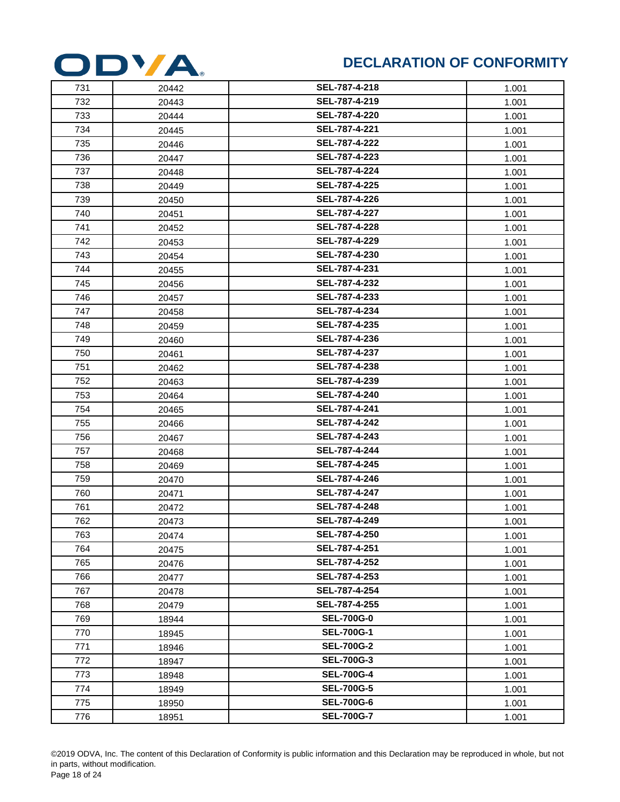

| 731 | 20442 | SEL-787-4-218     | 1.001 |
|-----|-------|-------------------|-------|
| 732 | 20443 | SEL-787-4-219     | 1.001 |
| 733 | 20444 | SEL-787-4-220     | 1.001 |
| 734 | 20445 | SEL-787-4-221     | 1.001 |
| 735 | 20446 | SEL-787-4-222     | 1.001 |
| 736 | 20447 | SEL-787-4-223     | 1.001 |
| 737 | 20448 | SEL-787-4-224     | 1.001 |
| 738 | 20449 | SEL-787-4-225     | 1.001 |
| 739 | 20450 | SEL-787-4-226     | 1.001 |
| 740 | 20451 | SEL-787-4-227     | 1.001 |
| 741 | 20452 | SEL-787-4-228     | 1.001 |
| 742 | 20453 | SEL-787-4-229     | 1.001 |
| 743 | 20454 | SEL-787-4-230     | 1.001 |
| 744 | 20455 | SEL-787-4-231     | 1.001 |
| 745 | 20456 | SEL-787-4-232     | 1.001 |
| 746 | 20457 | SEL-787-4-233     | 1.001 |
| 747 | 20458 | SEL-787-4-234     | 1.001 |
| 748 | 20459 | SEL-787-4-235     | 1.001 |
| 749 | 20460 | SEL-787-4-236     | 1.001 |
| 750 | 20461 | SEL-787-4-237     | 1.001 |
| 751 | 20462 | SEL-787-4-238     | 1.001 |
| 752 | 20463 | SEL-787-4-239     | 1.001 |
| 753 | 20464 | SEL-787-4-240     | 1.001 |
| 754 | 20465 | SEL-787-4-241     | 1.001 |
| 755 | 20466 | SEL-787-4-242     | 1.001 |
| 756 | 20467 | SEL-787-4-243     | 1.001 |
| 757 | 20468 | SEL-787-4-244     | 1.001 |
| 758 | 20469 | SEL-787-4-245     | 1.001 |
| 759 | 20470 | SEL-787-4-246     | 1.001 |
| 760 | 20471 | SEL-787-4-247     | 1.001 |
| 761 | 20472 | SEL-787-4-248     | 1.001 |
| 762 | 20473 | SEL-787-4-249     | 1.001 |
| 763 | 20474 | SEL-787-4-250     | 1.001 |
| 764 | 20475 | SEL-787-4-251     | 1.001 |
| 765 | 20476 | SEL-787-4-252     | 1.001 |
| 766 | 20477 | SEL-787-4-253     | 1.001 |
| 767 | 20478 | SEL-787-4-254     | 1.001 |
| 768 | 20479 | SEL-787-4-255     | 1.001 |
| 769 | 18944 | <b>SEL-700G-0</b> | 1.001 |
| 770 | 18945 | <b>SEL-700G-1</b> | 1.001 |
| 771 | 18946 | <b>SEL-700G-2</b> | 1.001 |
| 772 | 18947 | <b>SEL-700G-3</b> | 1.001 |
| 773 | 18948 | <b>SEL-700G-4</b> | 1.001 |
| 774 | 18949 | <b>SEL-700G-5</b> | 1.001 |
| 775 | 18950 | <b>SEL-700G-6</b> | 1.001 |
| 776 | 18951 | <b>SEL-700G-7</b> | 1.001 |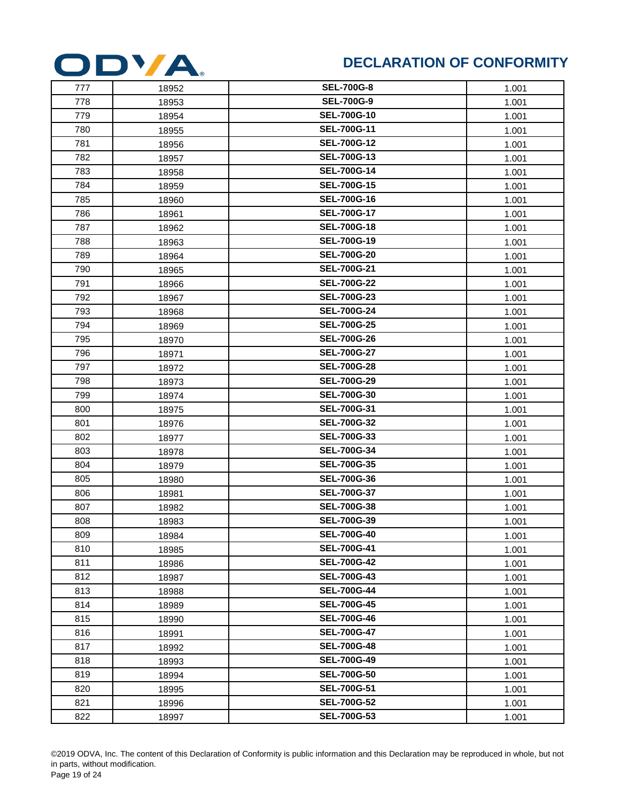

| 777 | 18952 | <b>SEL-700G-8</b>  | 1.001 |
|-----|-------|--------------------|-------|
| 778 | 18953 | <b>SEL-700G-9</b>  | 1.001 |
| 779 | 18954 | <b>SEL-700G-10</b> | 1.001 |
| 780 | 18955 | <b>SEL-700G-11</b> | 1.001 |
| 781 | 18956 | <b>SEL-700G-12</b> | 1.001 |
| 782 | 18957 | <b>SEL-700G-13</b> | 1.001 |
| 783 | 18958 | <b>SEL-700G-14</b> | 1.001 |
| 784 | 18959 | <b>SEL-700G-15</b> | 1.001 |
| 785 | 18960 | <b>SEL-700G-16</b> | 1.001 |
| 786 | 18961 | <b>SEL-700G-17</b> | 1.001 |
| 787 | 18962 | <b>SEL-700G-18</b> | 1.001 |
| 788 | 18963 | <b>SEL-700G-19</b> | 1.001 |
| 789 | 18964 | <b>SEL-700G-20</b> | 1.001 |
| 790 | 18965 | <b>SEL-700G-21</b> | 1.001 |
| 791 | 18966 | <b>SEL-700G-22</b> | 1.001 |
| 792 | 18967 | <b>SEL-700G-23</b> | 1.001 |
| 793 | 18968 | <b>SEL-700G-24</b> | 1.001 |
| 794 | 18969 | <b>SEL-700G-25</b> | 1.001 |
| 795 | 18970 | <b>SEL-700G-26</b> | 1.001 |
| 796 | 18971 | <b>SEL-700G-27</b> | 1.001 |
| 797 | 18972 | <b>SEL-700G-28</b> | 1.001 |
| 798 | 18973 | <b>SEL-700G-29</b> | 1.001 |
| 799 | 18974 | <b>SEL-700G-30</b> | 1.001 |
| 800 | 18975 | <b>SEL-700G-31</b> | 1.001 |
| 801 | 18976 | <b>SEL-700G-32</b> | 1.001 |
| 802 | 18977 | <b>SEL-700G-33</b> | 1.001 |
| 803 | 18978 | <b>SEL-700G-34</b> | 1.001 |
| 804 | 18979 | <b>SEL-700G-35</b> | 1.001 |
| 805 | 18980 | <b>SEL-700G-36</b> | 1.001 |
| 806 | 18981 | <b>SEL-700G-37</b> | 1.001 |
| 807 | 18982 | <b>SEL-700G-38</b> | 1.001 |
| 808 | 18983 | <b>SEL-700G-39</b> | 1.001 |
| 809 | 18984 | <b>SEL-700G-40</b> | 1.001 |
| 810 | 18985 | <b>SEL-700G-41</b> | 1.001 |
| 811 | 18986 | <b>SEL-700G-42</b> | 1.001 |
| 812 | 18987 | <b>SEL-700G-43</b> | 1.001 |
| 813 | 18988 | <b>SEL-700G-44</b> | 1.001 |
| 814 | 18989 | <b>SEL-700G-45</b> | 1.001 |
| 815 | 18990 | <b>SEL-700G-46</b> | 1.001 |
| 816 | 18991 | <b>SEL-700G-47</b> | 1.001 |
| 817 | 18992 | <b>SEL-700G-48</b> | 1.001 |
| 818 | 18993 | <b>SEL-700G-49</b> | 1.001 |
| 819 | 18994 | <b>SEL-700G-50</b> | 1.001 |
| 820 | 18995 | <b>SEL-700G-51</b> | 1.001 |
| 821 | 18996 | <b>SEL-700G-52</b> | 1.001 |
| 822 | 18997 | <b>SEL-700G-53</b> | 1.001 |
|     |       |                    |       |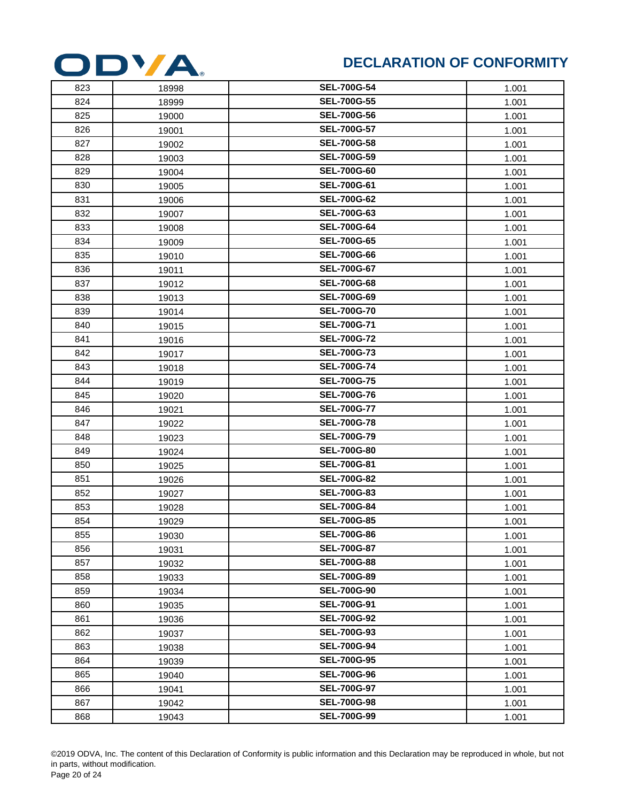

| 823 | 18998 | <b>SEL-700G-54</b> | 1.001 |
|-----|-------|--------------------|-------|
| 824 | 18999 | <b>SEL-700G-55</b> | 1.001 |
| 825 | 19000 | <b>SEL-700G-56</b> | 1.001 |
| 826 | 19001 | <b>SEL-700G-57</b> | 1.001 |
| 827 | 19002 | <b>SEL-700G-58</b> | 1.001 |
| 828 | 19003 | <b>SEL-700G-59</b> | 1.001 |
| 829 | 19004 | <b>SEL-700G-60</b> | 1.001 |
| 830 | 19005 | <b>SEL-700G-61</b> | 1.001 |
| 831 | 19006 | <b>SEL-700G-62</b> | 1.001 |
| 832 | 19007 | <b>SEL-700G-63</b> | 1.001 |
| 833 | 19008 | <b>SEL-700G-64</b> | 1.001 |
| 834 | 19009 | <b>SEL-700G-65</b> | 1.001 |
| 835 | 19010 | <b>SEL-700G-66</b> | 1.001 |
| 836 | 19011 | <b>SEL-700G-67</b> | 1.001 |
| 837 | 19012 | <b>SEL-700G-68</b> | 1.001 |
| 838 | 19013 | <b>SEL-700G-69</b> | 1.001 |
| 839 | 19014 | <b>SEL-700G-70</b> | 1.001 |
| 840 | 19015 | <b>SEL-700G-71</b> | 1.001 |
| 841 | 19016 | <b>SEL-700G-72</b> | 1.001 |
| 842 | 19017 | <b>SEL-700G-73</b> | 1.001 |
| 843 | 19018 | <b>SEL-700G-74</b> | 1.001 |
| 844 | 19019 | <b>SEL-700G-75</b> | 1.001 |
| 845 | 19020 | <b>SEL-700G-76</b> | 1.001 |
| 846 | 19021 | <b>SEL-700G-77</b> | 1.001 |
| 847 | 19022 | <b>SEL-700G-78</b> | 1.001 |
| 848 | 19023 | <b>SEL-700G-79</b> | 1.001 |
| 849 | 19024 | <b>SEL-700G-80</b> | 1.001 |
| 850 | 19025 | <b>SEL-700G-81</b> | 1.001 |
| 851 | 19026 | <b>SEL-700G-82</b> | 1.001 |
| 852 | 19027 | <b>SEL-700G-83</b> | 1.001 |
| 853 | 19028 | <b>SEL-700G-84</b> | 1.001 |
| 854 | 19029 | <b>SEL-700G-85</b> | 1.001 |
| 855 | 19030 | <b>SEL-700G-86</b> | 1.001 |
| 856 | 19031 | <b>SEL-700G-87</b> | 1.001 |
| 857 | 19032 | <b>SEL-700G-88</b> | 1.001 |
| 858 | 19033 | <b>SEL-700G-89</b> | 1.001 |
| 859 | 19034 | <b>SEL-700G-90</b> | 1.001 |
| 860 | 19035 | <b>SEL-700G-91</b> | 1.001 |
| 861 | 19036 | <b>SEL-700G-92</b> | 1.001 |
| 862 | 19037 | <b>SEL-700G-93</b> | 1.001 |
| 863 | 19038 | <b>SEL-700G-94</b> | 1.001 |
| 864 | 19039 | <b>SEL-700G-95</b> | 1.001 |
| 865 | 19040 | <b>SEL-700G-96</b> | 1.001 |
| 866 | 19041 | <b>SEL-700G-97</b> | 1.001 |
| 867 | 19042 | <b>SEL-700G-98</b> | 1.001 |
| 868 | 19043 | <b>SEL-700G-99</b> | 1.001 |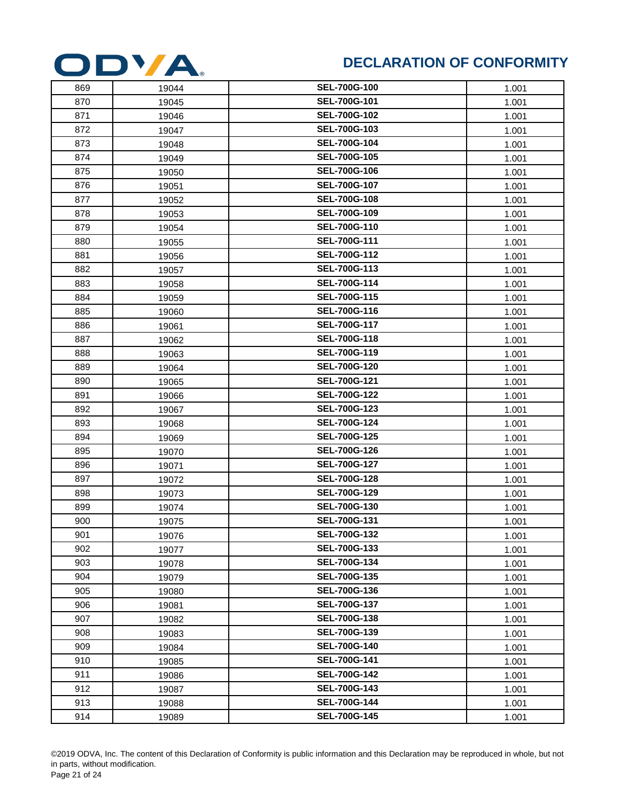

| 869 | 19044 | <b>SEL-700G-100</b> | 1.001 |
|-----|-------|---------------------|-------|
| 870 | 19045 | SEL-700G-101        | 1.001 |
| 871 | 19046 | SEL-700G-102        | 1.001 |
| 872 | 19047 | SEL-700G-103        | 1.001 |
| 873 | 19048 | SEL-700G-104        | 1.001 |
| 874 | 19049 | <b>SEL-700G-105</b> | 1.001 |
| 875 | 19050 | SEL-700G-106        | 1.001 |
| 876 | 19051 | SEL-700G-107        | 1.001 |
| 877 | 19052 | SEL-700G-108        | 1.001 |
| 878 | 19053 | SEL-700G-109        | 1.001 |
| 879 | 19054 | SEL-700G-110        | 1.001 |
| 880 | 19055 | SEL-700G-111        | 1.001 |
| 881 | 19056 | <b>SEL-700G-112</b> | 1.001 |
| 882 | 19057 | SEL-700G-113        | 1.001 |
| 883 | 19058 | SEL-700G-114        | 1.001 |
| 884 | 19059 | <b>SEL-700G-115</b> | 1.001 |
| 885 | 19060 | <b>SEL-700G-116</b> | 1.001 |
| 886 | 19061 | SEL-700G-117        | 1.001 |
| 887 | 19062 | <b>SEL-700G-118</b> | 1.001 |
| 888 | 19063 | SEL-700G-119        | 1.001 |
| 889 | 19064 | <b>SEL-700G-120</b> | 1.001 |
| 890 | 19065 | SEL-700G-121        | 1.001 |
| 891 | 19066 | <b>SEL-700G-122</b> | 1.001 |
| 892 | 19067 | SEL-700G-123        | 1.001 |
| 893 | 19068 | SEL-700G-124        | 1.001 |
| 894 | 19069 | <b>SEL-700G-125</b> | 1.001 |
| 895 | 19070 | SEL-700G-126        | 1.001 |
| 896 | 19071 | SEL-700G-127        | 1.001 |
| 897 | 19072 | <b>SEL-700G-128</b> | 1.001 |
| 898 | 19073 | SEL-700G-129        | 1.001 |
| 899 | 19074 | SEL-700G-130        | 1.001 |
| 900 | 19075 | SEL-700G-131        | 1.001 |
| 901 | 19076 | <b>SEL-700G-132</b> | 1.001 |
| 902 | 19077 | <b>SEL-700G-133</b> | 1.001 |
| 903 | 19078 | <b>SEL-700G-134</b> | 1.001 |
| 904 | 19079 | <b>SEL-700G-135</b> | 1.001 |
| 905 | 19080 | SEL-700G-136        | 1.001 |
| 906 | 19081 | <b>SEL-700G-137</b> | 1.001 |
| 907 | 19082 | <b>SEL-700G-138</b> | 1.001 |
| 908 | 19083 | SEL-700G-139        | 1.001 |
| 909 | 19084 | <b>SEL-700G-140</b> | 1.001 |
| 910 | 19085 | SEL-700G-141        | 1.001 |
| 911 | 19086 | SEL-700G-142        | 1.001 |
| 912 | 19087 | SEL-700G-143        | 1.001 |
| 913 | 19088 | SEL-700G-144        | 1.001 |
| 914 | 19089 | <b>SEL-700G-145</b> | 1.001 |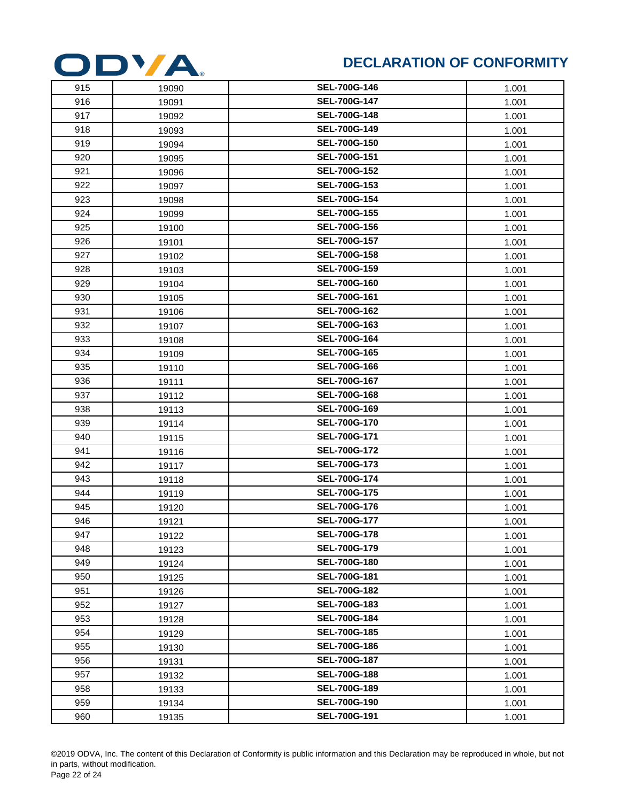

| 915 | 19090 | <b>SEL-700G-146</b> | 1.001 |
|-----|-------|---------------------|-------|
| 916 | 19091 | <b>SEL-700G-147</b> | 1.001 |
| 917 | 19092 | <b>SEL-700G-148</b> | 1.001 |
| 918 | 19093 | SEL-700G-149        | 1.001 |
| 919 | 19094 | <b>SEL-700G-150</b> | 1.001 |
| 920 | 19095 | SEL-700G-151        | 1.001 |
| 921 | 19096 | <b>SEL-700G-152</b> | 1.001 |
| 922 | 19097 | SEL-700G-153        | 1.001 |
| 923 | 19098 | <b>SEL-700G-154</b> | 1.001 |
| 924 | 19099 | <b>SEL-700G-155</b> | 1.001 |
| 925 | 19100 | <b>SEL-700G-156</b> | 1.001 |
| 926 | 19101 | <b>SEL-700G-157</b> | 1.001 |
| 927 | 19102 | <b>SEL-700G-158</b> | 1.001 |
| 928 | 19103 | <b>SEL-700G-159</b> | 1.001 |
| 929 | 19104 | SEL-700G-160        | 1.001 |
| 930 | 19105 | SEL-700G-161        | 1.001 |
| 931 | 19106 | SEL-700G-162        | 1.001 |
| 932 | 19107 | <b>SEL-700G-163</b> | 1.001 |
| 933 | 19108 | <b>SEL-700G-164</b> | 1.001 |
| 934 | 19109 | SEL-700G-165        | 1.001 |
| 935 | 19110 | <b>SEL-700G-166</b> | 1.001 |
| 936 | 19111 | SEL-700G-167        | 1.001 |
| 937 | 19112 | <b>SEL-700G-168</b> | 1.001 |
| 938 | 19113 | SEL-700G-169        | 1.001 |
| 939 | 19114 | <b>SEL-700G-170</b> | 1.001 |
| 940 | 19115 | SEL-700G-171        | 1.001 |
| 941 | 19116 | <b>SEL-700G-172</b> | 1.001 |
| 942 | 19117 | <b>SEL-700G-173</b> | 1.001 |
| 943 | 19118 | SEL-700G-174        | 1.001 |
| 944 | 19119 | <b>SEL-700G-175</b> | 1.001 |
| 945 | 19120 | <b>SEL-700G-176</b> | 1.001 |
| 946 | 19121 | <b>SEL-700G-177</b> | 1.001 |
| 947 | 19122 | <b>SEL-700G-178</b> | 1.001 |
| 948 | 19123 | <b>SEL-700G-179</b> | 1.001 |
| 949 | 19124 | <b>SEL-700G-180</b> | 1.001 |
| 950 | 19125 | SEL-700G-181        | 1.001 |
| 951 | 19126 | <b>SEL-700G-182</b> | 1.001 |
| 952 | 19127 | <b>SEL-700G-183</b> | 1.001 |
| 953 | 19128 | SEL-700G-184        | 1.001 |
| 954 | 19129 | <b>SEL-700G-185</b> | 1.001 |
| 955 | 19130 | <b>SEL-700G-186</b> | 1.001 |
| 956 | 19131 | <b>SEL-700G-187</b> | 1.001 |
| 957 | 19132 | <b>SEL-700G-188</b> | 1.001 |
| 958 | 19133 | SEL-700G-189        | 1.001 |
| 959 | 19134 | <b>SEL-700G-190</b> | 1.001 |
| 960 | 19135 | <b>SEL-700G-191</b> | 1.001 |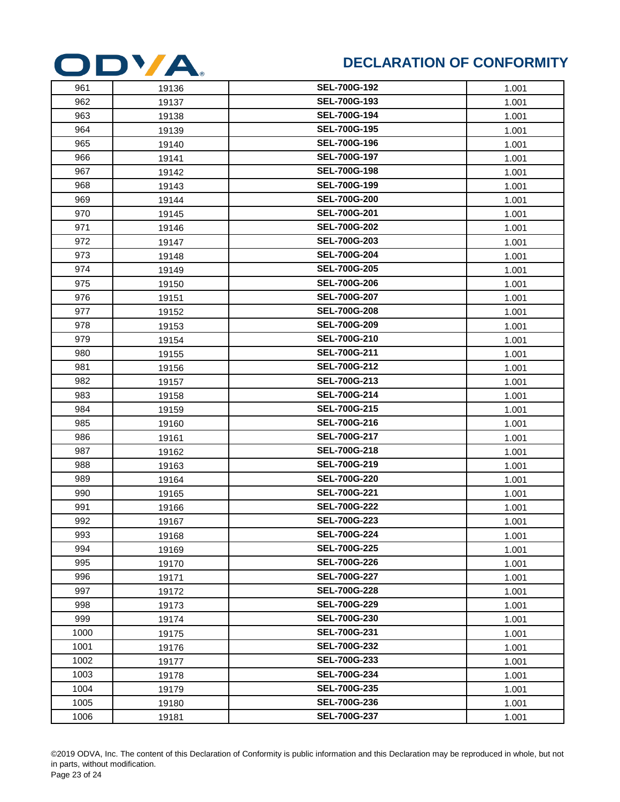

| 961  | 19136 | <b>SEL-700G-192</b> | 1.001 |
|------|-------|---------------------|-------|
| 962  | 19137 | SEL-700G-193        | 1.001 |
| 963  | 19138 | <b>SEL-700G-194</b> | 1.001 |
| 964  | 19139 | <b>SEL-700G-195</b> | 1.001 |
| 965  | 19140 | SEL-700G-196        | 1.001 |
| 966  | 19141 | <b>SEL-700G-197</b> | 1.001 |
| 967  | 19142 | SEL-700G-198        | 1.001 |
| 968  | 19143 | SEL-700G-199        | 1.001 |
| 969  | 19144 | <b>SEL-700G-200</b> | 1.001 |
| 970  | 19145 | SEL-700G-201        | 1.001 |
| 971  | 19146 | <b>SEL-700G-202</b> | 1.001 |
| 972  | 19147 | SEL-700G-203        | 1.001 |
| 973  | 19148 | <b>SEL-700G-204</b> | 1.001 |
| 974  | 19149 | <b>SEL-700G-205</b> | 1.001 |
| 975  | 19150 | <b>SEL-700G-206</b> | 1.001 |
| 976  | 19151 | <b>SEL-700G-207</b> | 1.001 |
| 977  | 19152 | <b>SEL-700G-208</b> | 1.001 |
| 978  | 19153 | <b>SEL-700G-209</b> | 1.001 |
| 979  | 19154 | SEL-700G-210        | 1.001 |
| 980  | 19155 | SEL-700G-211        | 1.001 |
| 981  | 19156 | SEL-700G-212        | 1.001 |
| 982  | 19157 | SEL-700G-213        | 1.001 |
| 983  | 19158 | SEL-700G-214        | 1.001 |
| 984  | 19159 | <b>SEL-700G-215</b> | 1.001 |
| 985  | 19160 | SEL-700G-216        | 1.001 |
| 986  | 19161 | SEL-700G-217        | 1.001 |
| 987  | 19162 | SEL-700G-218        | 1.001 |
| 988  | 19163 | SEL-700G-219        | 1.001 |
| 989  | 19164 | <b>SEL-700G-220</b> | 1.001 |
| 990  | 19165 | <b>SEL-700G-221</b> | 1.001 |
| 991  | 19166 | <b>SEL-700G-222</b> | 1.001 |
| 992  | 19167 | <b>SEL-700G-223</b> | 1.001 |
| 993  | 19168 | <b>SEL-700G-224</b> | 1.001 |
| 994  | 19169 | <b>SEL-700G-225</b> | 1.001 |
| 995  | 19170 | <b>SEL-700G-226</b> | 1.001 |
| 996  | 19171 | <b>SEL-700G-227</b> | 1.001 |
| 997  | 19172 | <b>SEL-700G-228</b> | 1.001 |
| 998  | 19173 | <b>SEL-700G-229</b> | 1.001 |
| 999  | 19174 | <b>SEL-700G-230</b> | 1.001 |
| 1000 | 19175 | SEL-700G-231        | 1.001 |
| 1001 | 19176 | <b>SEL-700G-232</b> | 1.001 |
| 1002 | 19177 | <b>SEL-700G-233</b> | 1.001 |
| 1003 | 19178 | SEL-700G-234        | 1.001 |
| 1004 | 19179 | <b>SEL-700G-235</b> | 1.001 |
| 1005 | 19180 | <b>SEL-700G-236</b> | 1.001 |
| 1006 | 19181 | <b>SEL-700G-237</b> | 1.001 |